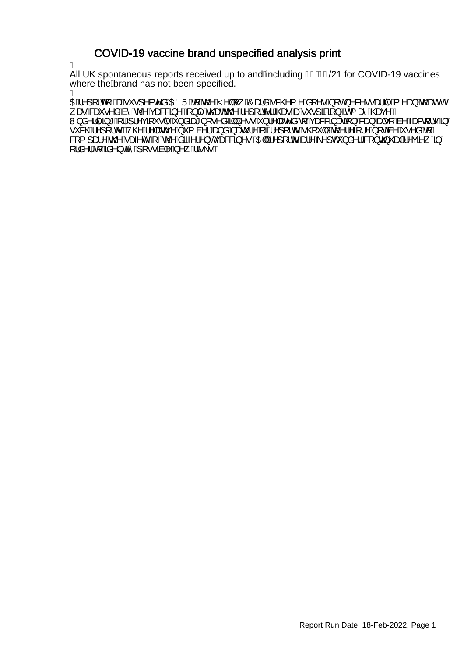### COVID-19 vaccine brand unspecified analysis print

Á

All UK spontaneous reports received up to and Ancluding FI BEG21 for COVID-19 vaccines where the brand has not been specified.<br>A

ł OEÁ^][¦oÁ<sub>T</sub>ÁszÁ^\*,•]^&c^åÁOEÖÜÁ{ÁQQ^ÁY^||[¸ÁÔæåÁ&QQ{^ÁS{^•Á{oÁ^&^•,ea‡îÁ{^a}ÁQead%en/ , æRGei•^å,Anî,An@AçæG&Zj^EA{}|^An@eeAn@A^][,Ic^|A@eeAseA`\*,•]&BZj}A5aA{æîA^@eeç^E W}å^}|^ã\*A{{A}|^çã{`•|^A}åãæ\*}[•^åAŞW}^••A}}¦^|æe^åAq{Açæ&&ã}æaã{}A&a},Aad|•[Aà^Aæ&q{|•A§/A •`&@A^][¦oEV@A^|æãr^A`{ à^¦A<del>Q</del>}åAæč¦^A^}[¦oA@`|åA@'¦^{¦^A[o&^A^•^åA[*|* &[{]æ!^^,An@^Aæ;^c^^A,~An@^,Asã-^;¦^}cAçæ&&3}^•BAQE|A|^][¦or^&a}^A^]cA`}å^¦/&Q{}c3}~aa}A^çã^\_A§/ [¦å^¦AğA‰a^}cã-̂A}[••ãa|^A,^¸Aã\•E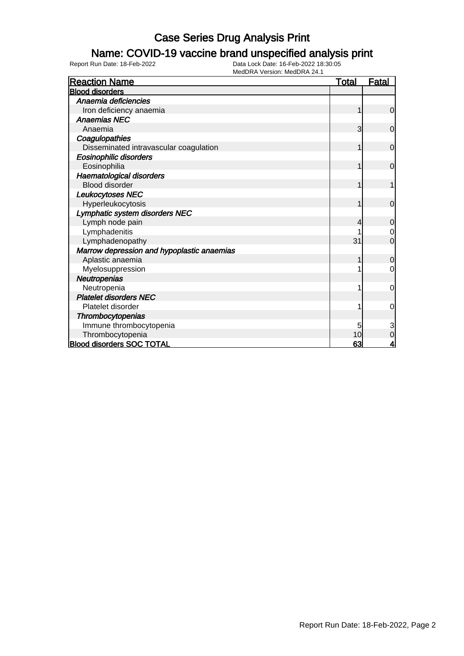### Name: COVID-19 vaccine brand unspecified analysis print

| <b>Reaction Name</b>                       | <b>Total</b>   | <u>Fatal</u>   |
|--------------------------------------------|----------------|----------------|
| <b>Blood disorders</b>                     |                |                |
| Anaemia deficiencies                       |                |                |
| Iron deficiency anaemia                    |                | $\mathbf 0$    |
| <b>Anaemias NEC</b>                        |                |                |
| Anaemia                                    | 3              | $\overline{0}$ |
| Coagulopathies                             |                |                |
| Disseminated intravascular coagulation     | $\overline{1}$ | $\mathbf 0$    |
| Eosinophilic disorders                     |                |                |
| Eosinophilia                               | 1              | $\Omega$       |
| Haematological disorders                   |                |                |
| <b>Blood disorder</b>                      |                |                |
| Leukocytoses NEC                           |                |                |
| Hyperleukocytosis                          | 1              | $\overline{0}$ |
| Lymphatic system disorders NEC             |                |                |
| Lymph node pain                            | 4              | $\mathbf 0$    |
| Lymphadenitis                              |                | $\mathbf 0$    |
| Lymphadenopathy                            | 31             | $\overline{0}$ |
| Marrow depression and hypoplastic anaemias |                |                |
| Aplastic anaemia                           |                | $\mathbf 0$    |
| Myelosuppression                           |                | $\mathbf 0$    |
| Neutropenias                               |                |                |
| Neutropenia                                |                | 0              |
| <b>Platelet disorders NEC</b>              |                |                |
| Platelet disorder                          |                | 0              |
| Thrombocytopenias                          |                |                |
| Immune thrombocytopenia                    | 5              | 3              |
| Thrombocytopenia                           | 10             | $\overline{0}$ |
| <b>Blood disorders SOC TOTAL</b>           | 63             | 4              |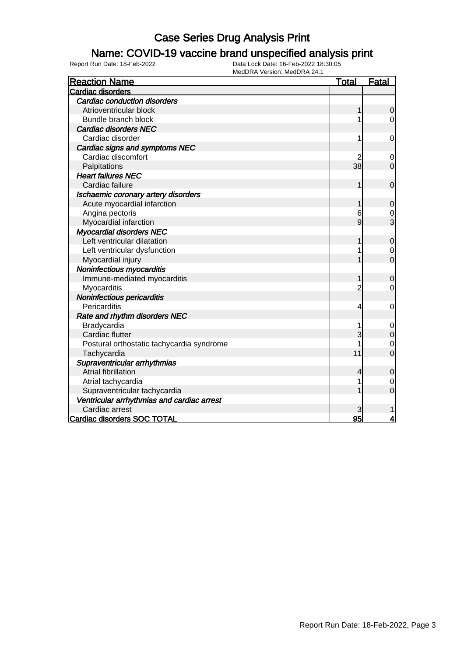### Name: COVID-19 vaccine brand unspecified analysis print

| <b>Reaction Name</b>                       | <b>Total</b>   | <b>Fatal</b>     |
|--------------------------------------------|----------------|------------------|
| Cardiac disorders                          |                |                  |
| <b>Cardiac conduction disorders</b>        |                |                  |
| Atrioventricular block                     | 1              | $\mathbf 0$      |
| Bundle branch block                        | 1              | $\mathbf 0$      |
| <b>Cardiac disorders NEC</b>               |                |                  |
| Cardiac disorder                           | 1              | 0                |
| Cardiac signs and symptoms NEC             |                |                  |
| Cardiac discomfort                         |                | 0                |
| Palpitations                               | 38             | $\overline{0}$   |
| <b>Heart failures NEC</b>                  |                |                  |
| Cardiac failure                            | 1              | $\overline{0}$   |
| Ischaemic coronary artery disorders        |                |                  |
| Acute myocardial infarction                | 1              | 0                |
| Angina pectoris                            | 6              | $\frac{0}{3}$    |
| Myocardial infarction                      | 9              |                  |
| <b>Myocardial disorders NEC</b>            |                |                  |
| Left ventricular dilatation                |                | $\mathbf 0$      |
| Left ventricular dysfunction               | 1              | $\mathbf 0$      |
| Myocardial injury                          |                | $\overline{0}$   |
| Noninfectious myocarditis                  |                |                  |
| Immune-mediated myocarditis                |                | 0                |
| Myocarditis                                | $\overline{c}$ | 0                |
| Noninfectious pericarditis                 |                |                  |
| Pericarditis                               | 4              | $\mathbf 0$      |
| Rate and rhythm disorders NEC              |                |                  |
| Bradycardia                                | 1              | $\mathbf 0$      |
| Cardiac flutter                            | 3              | $\mathbf 0$      |
| Postural orthostatic tachycardia syndrome  |                | 0                |
| Tachycardia                                | 11             | $\overline{0}$   |
| Supraventricular arrhythmias               |                |                  |
| Atrial fibrillation                        | 4              | 0                |
| Atrial tachycardia                         | 1              | $\boldsymbol{0}$ |
| Supraventricular tachycardia               |                | 0                |
| Ventricular arrhythmias and cardiac arrest |                |                  |
| Cardiac arrest                             | 3              |                  |
| Cardiac disorders SOC TOTAL                | 95             | 4                |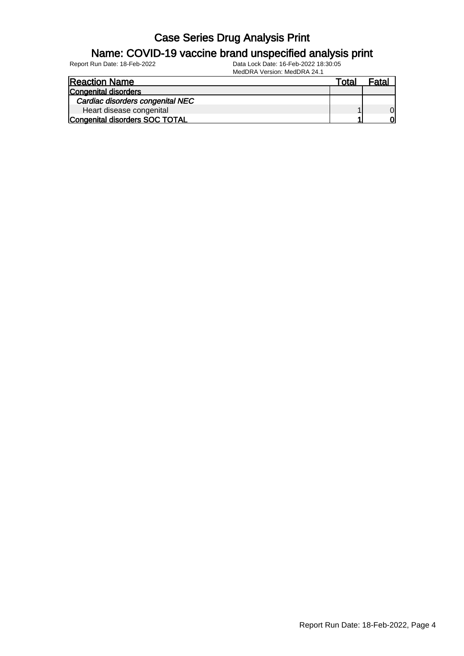#### Name: COVID-19 vaccine brand unspecified analysis print

Report Run Date: 18-Feb-2022 Data Lock Date: 16-Feb-2022 18:30:05

MedDRA Version: MedDRA 24.1

| <b>Reaction Name</b>             | ™ota⊩ | Fatal |
|----------------------------------|-------|-------|
| Congenital disorders             |       |       |
| Cardiac disorders congenital NEC |       |       |
| Heart disease congenital         |       | Οl    |
| Congenital disorders SOC TOTAL   |       |       |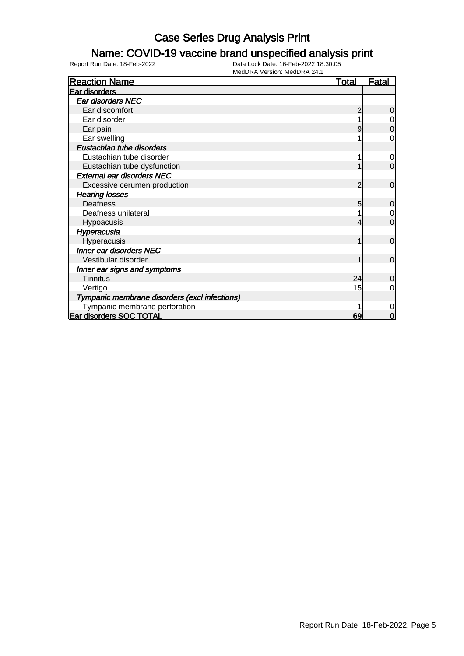### Name: COVID-19 vaccine brand unspecified analysis print

| <b>Reaction Name</b>                          | <b>Total</b> | <b>Fatal</b>   |
|-----------------------------------------------|--------------|----------------|
| Ear disorders                                 |              |                |
| Ear disorders NEC                             |              |                |
| Ear discomfort                                |              | 0              |
| Ear disorder                                  |              | 0              |
| Ear pain                                      |              | $\mathbf 0$    |
| Ear swelling                                  |              | 0              |
| Eustachian tube disorders                     |              |                |
| Eustachian tube disorder                      |              | $\overline{0}$ |
| Eustachian tube dysfunction                   |              | $\mathbf 0$    |
| <b>External ear disorders NEC</b>             |              |                |
| Excessive cerumen production                  | 2            | $\mathbf 0$    |
| <b>Hearing losses</b>                         |              |                |
| Deafness                                      | 5            | $\mathbf 0$    |
| Deafness unilateral                           |              | $\overline{0}$ |
| Hypoacusis                                    |              | $\mathbf 0$    |
| Hyperacusia                                   |              |                |
| Hyperacusis                                   |              | $\Omega$       |
| <b>Inner ear disorders NEC</b>                |              |                |
| Vestibular disorder                           |              | $\mathbf 0$    |
| Inner ear signs and symptoms                  |              |                |
| <b>Tinnitus</b>                               | 24           | $\Omega$       |
| Vertigo                                       | 15           | 0              |
| Tympanic membrane disorders (excl infections) |              |                |
| Tympanic membrane perforation                 |              | 0              |
| Ear disorders SOC TOTAL                       | 69           | 0              |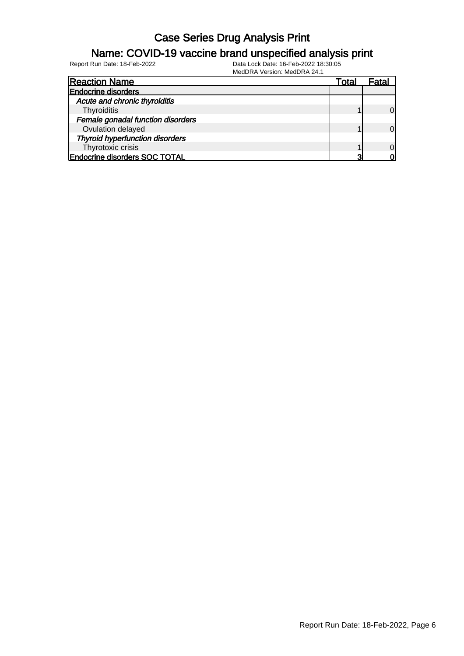#### Name: COVID-19 vaccine brand unspecified analysis print

| <b>Reaction Name</b>                   | Total |          |
|----------------------------------------|-------|----------|
| <b>Endocrine disorders</b>             |       |          |
| Acute and chronic thyroiditis          |       |          |
| Thyroiditis                            |       |          |
| Female gonadal function disorders      |       |          |
| Ovulation delayed                      |       | $\Omega$ |
| <b>Thyroid hyperfunction disorders</b> |       |          |
| Thyrotoxic crisis                      |       | $\Omega$ |
| <b>Endocrine disorders SOC TOTAL</b>   |       |          |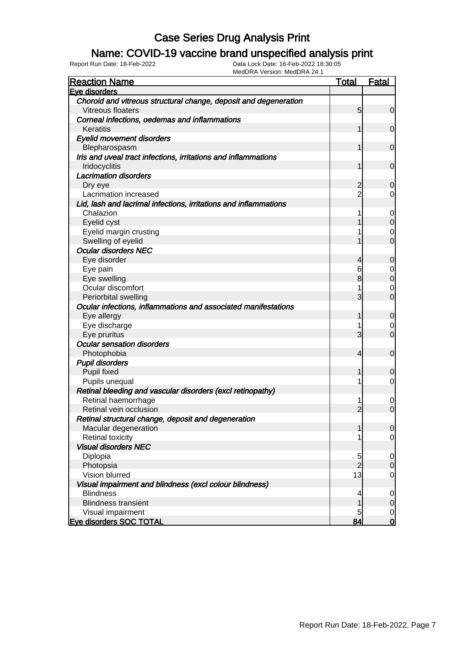### Name: COVID-19 vaccine brand unspecified analysis print

| <b>Reaction Name</b>                                             | <b>Total</b>    | <b>Fatal</b>   |
|------------------------------------------------------------------|-----------------|----------------|
| Eve disorders                                                    |                 |                |
| Choroid and vitreous structural change, deposit and degeneration |                 |                |
| Vitreous floaters                                                | $5\overline{)}$ | $\mathbf 0$    |
| Corneal infections, oedemas and inflammations                    |                 |                |
| Keratitis                                                        |                 | $\mathbf 0$    |
| <b>Eyelid movement disorders</b>                                 |                 |                |
| Blepharospasm                                                    |                 | $\mathbf 0$    |
| Iris and uveal tract infections, irritations and inflammations   |                 |                |
| Iridocyclitis                                                    |                 | $\mathbf 0$    |
| <b>Lacrimation disorders</b>                                     |                 |                |
| Dry eye                                                          | $\overline{c}$  | 0              |
| Lacrimation increased                                            |                 | 0              |
| Lid, lash and lacrimal infections, irritations and inflammations |                 |                |
| Chalazion                                                        |                 | $\mathbf 0$    |
| Eyelid cyst                                                      |                 | $\mathbf 0$    |
| Eyelid margin crusting                                           |                 | 0              |
| Swelling of eyelid                                               |                 | $\overline{0}$ |
| <b>Ocular disorders NEC</b>                                      |                 |                |
| Eye disorder                                                     | 4               | 0              |
| Eye pain                                                         | 6               | 0              |
| Eye swelling                                                     | 8               | $\overline{0}$ |
| Ocular discomfort                                                |                 | 0              |
| Periorbital swelling                                             | 3               | $\overline{0}$ |
| Ocular infections, inflammations and associated manifestations   |                 |                |
| Eye allergy                                                      | 1               | $\mathbf 0$    |
| Eye discharge                                                    |                 | 0              |
| Eye pruritus                                                     | 3               | $\overline{0}$ |
| <b>Ocular sensation disorders</b>                                |                 |                |
| Photophobia                                                      | 4               | $\mathbf 0$    |
| <b>Pupil disorders</b>                                           |                 |                |
| Pupil fixed                                                      | 1               | 0              |
| Pupils unequal                                                   |                 | $\mathbf 0$    |
| Retinal bleeding and vascular disorders (excl retinopathy)       |                 |                |
| Retinal haemorrhage                                              |                 | $\mathbf 0$    |
| Retinal vein occlusion                                           | $\overline{2}$  | $\overline{0}$ |
| Retinal structural change, deposit and degeneration              |                 |                |
| Macular degeneration                                             | 1               | $\overline{0}$ |
| <b>Retinal toxicity</b>                                          |                 | $\overline{0}$ |
| <b>Visual disorders NEC</b>                                      |                 |                |
| Diplopia                                                         | 5               | $\mathbf 0$    |
| Photopsia                                                        | $\overline{2}$  | $\mathbf 0$    |
| Vision blurred                                                   | 13              | $\mathbf 0$    |
| Visual impairment and blindness (excl colour blindness)          |                 |                |
| <b>Blindness</b>                                                 | 4               | $\mathbf 0$    |
| <b>Blindness transient</b>                                       |                 | $\mathbf 0$    |
| Visual impairment                                                | 5               | $\mathbf 0$    |
| Eye disorders SOC TOTAL                                          | 84              | $\mathbf 0$    |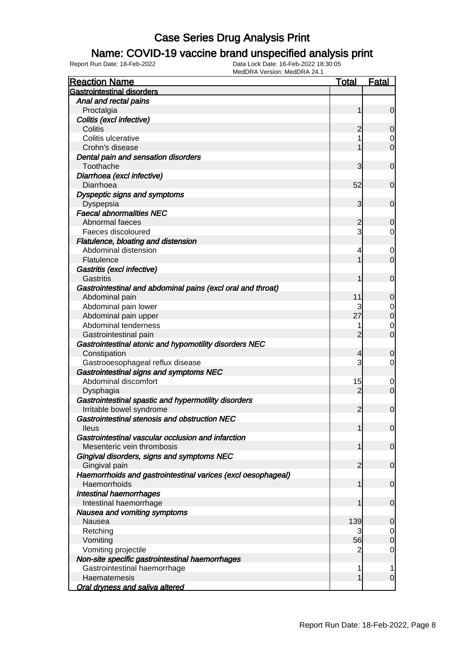### Name: COVID-19 vaccine brand unspecified analysis print

| <b>Reaction Name</b>                                         | <u>Total</u>   | <b>Fatal</b>     |
|--------------------------------------------------------------|----------------|------------------|
| <b>Gastrointestinal disorders</b>                            |                |                  |
| Anal and rectal pains                                        |                |                  |
| Proctalgia                                                   | 1              | $\mathbf 0$      |
| Colitis (excl infective)                                     |                |                  |
| Colitis                                                      | 2              | 0                |
| Colitis ulcerative                                           |                | 0                |
| Crohn's disease                                              |                | $\overline{0}$   |
| Dental pain and sensation disorders                          |                |                  |
| Toothache                                                    | 3              | $\mathbf 0$      |
| Diarrhoea (excl infective)                                   |                |                  |
| Diarrhoea                                                    | 52             | $\mathbf 0$      |
| Dyspeptic signs and symptoms                                 |                |                  |
| Dyspepsia                                                    | 3              | $\mathbf 0$      |
| <b>Faecal abnormalities NEC</b>                              |                |                  |
| Abnormal faeces                                              | 2              | $\overline{0}$   |
| Faeces discoloured                                           | 3              | 0                |
| Flatulence, bloating and distension                          |                |                  |
| Abdominal distension                                         | 4              | 0                |
| Flatulence                                                   | 1              | $\overline{0}$   |
| Gastritis (excl infective)                                   |                |                  |
| Gastritis                                                    | 1              | $\mathbf 0$      |
| Gastrointestinal and abdominal pains (excl oral and throat)  |                |                  |
| Abdominal pain                                               | 11             | 0                |
| Abdominal pain lower                                         | 3              | 0                |
| Abdominal pain upper                                         | 27             | $\boldsymbol{0}$ |
| Abdominal tenderness                                         | 1              | 0                |
| Gastrointestinal pain                                        | $\overline{2}$ | $\mathbf 0$      |
| Gastrointestinal atonic and hypomotility disorders NEC       |                |                  |
| Constipation                                                 | 4              | 0                |
| Gastrooesophageal reflux disease                             | 3              | 0                |
| Gastrointestinal signs and symptoms NEC                      |                |                  |
| Abdominal discomfort                                         | 15             | 0                |
| Dysphagia                                                    | $\overline{2}$ | $\mathbf 0$      |
| Gastrointestinal spastic and hypermotility disorders         |                |                  |
| Irritable bowel syndrome                                     | $\overline{2}$ | $\mathbf 0$      |
| Gastrointestinal stenosis and obstruction NEC                |                |                  |
| <b>Ileus</b>                                                 | 1              | $\overline{0}$   |
| Gastrointestinal vascular occlusion and infarction           |                |                  |
| Mesenteric vein thrombosis                                   | 1              | $\mathbf 0$      |
| Gingival disorders, signs and symptoms NEC                   |                |                  |
| Gingival pain                                                | 2              | $\mathbf 0$      |
| Haemorrhoids and gastrointestinal varices (excl oesophageal) |                |                  |
| Haemorrhoids                                                 | 1              | $\mathbf 0$      |
| <b>Intestinal haemorrhages</b>                               |                |                  |
| Intestinal haemorrhage                                       | 1              | $\mathbf 0$      |
| Nausea and vomiting symptoms                                 |                |                  |
| Nausea                                                       | 139            | 0                |
| Retching                                                     | 3              | 0                |
| Vomiting                                                     | 56             | $\mathbf 0$      |
| Vomiting projectile                                          | 2              | 0                |
| Non-site specific gastrointestinal haemorrhages              |                |                  |
| Gastrointestinal haemorrhage                                 | 1              | 1                |
| Haematemesis                                                 | 1              | $\mathbf 0$      |
| <b>Oral dryness and saliva altered</b>                       |                |                  |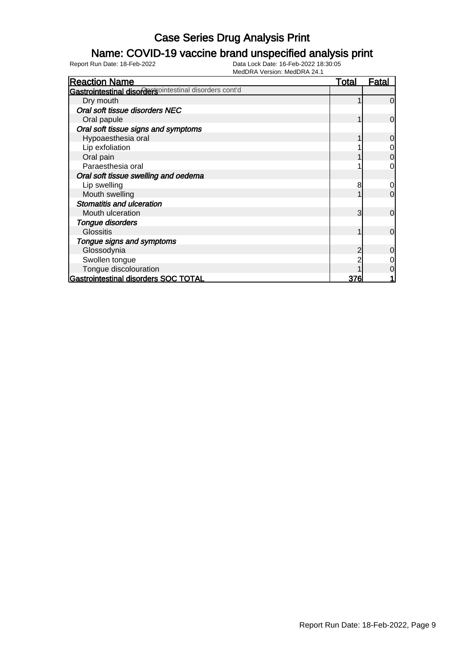### Name: COVID-19 vaccine brand unspecified analysis print

| <b>Reaction Name</b>                                    | Total | <u>Fatal</u>   |
|---------------------------------------------------------|-------|----------------|
| Gastrointestinal disordertsointestinal disorders cont'd |       |                |
| Dry mouth                                               |       | $\overline{0}$ |
| Oral soft tissue disorders NEC                          |       |                |
| Oral papule                                             |       | $\overline{0}$ |
| Oral soft tissue signs and symptoms                     |       |                |
| Hypoaesthesia oral                                      |       | $\overline{0}$ |
| Lip exfoliation                                         |       | 0              |
| Oral pain                                               |       | $\overline{0}$ |
| Paraesthesia oral                                       |       | $\overline{0}$ |
| Oral soft tissue swelling and oedema                    |       |                |
| Lip swelling                                            | 8     | $\overline{0}$ |
| Mouth swelling                                          |       | $\overline{0}$ |
| Stomatitis and ulceration                               |       |                |
| Mouth ulceration                                        | 3     | $\overline{0}$ |
| Tongue disorders                                        |       |                |
| <b>Glossitis</b>                                        |       | $\overline{0}$ |
| Tongue signs and symptoms                               |       |                |
| Glossodynia                                             | 2     | $\overline{0}$ |
| Swollen tongue                                          |       | 0              |
| Tongue discolouration                                   |       | $\overline{0}$ |
| Gastrointestinal disorders SOC TOTAL                    | 376   |                |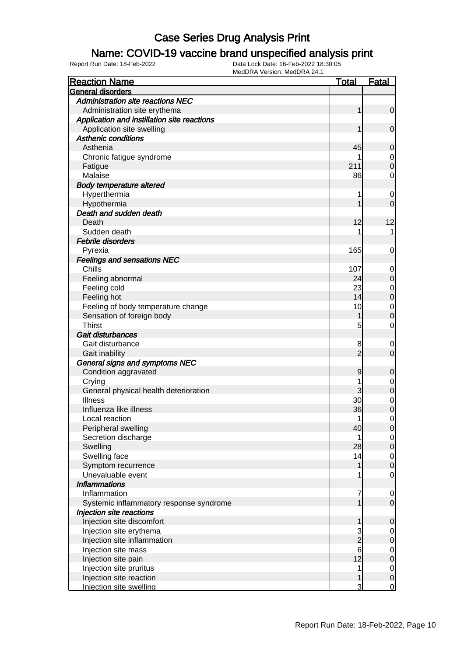### Name: COVID-19 vaccine brand unspecified analysis print

| <b>Reaction Name</b>                        | <b>Total</b>    | <b>Fatal</b>                         |
|---------------------------------------------|-----------------|--------------------------------------|
| General disorders                           |                 |                                      |
| <b>Administration site reactions NEC</b>    |                 |                                      |
| Administration site erythema                | 1               | $\overline{0}$                       |
| Application and instillation site reactions |                 |                                      |
| Application site swelling                   | 1               | $\mathbf 0$                          |
| <b>Asthenic conditions</b>                  |                 |                                      |
| Asthenia                                    | 45              | $\mathbf 0$                          |
| Chronic fatigue syndrome                    |                 | $\overline{0}$                       |
| Fatigue                                     | 211             | $\overline{0}$                       |
| Malaise                                     | 86              | $\mathbf 0$                          |
| <b>Body temperature altered</b>             |                 |                                      |
| Hyperthermia                                |                 | $\mathbf 0$                          |
| Hypothermia                                 |                 | $\overline{0}$                       |
| Death and sudden death                      |                 |                                      |
| Death                                       | 12              | 12                                   |
| Sudden death                                |                 | 1                                    |
| <b>Febrile disorders</b>                    |                 |                                      |
| Pyrexia                                     | 165             | 0                                    |
| <b>Feelings and sensations NEC</b>          |                 |                                      |
| Chills                                      | 107             | $\mathbf 0$                          |
| Feeling abnormal                            | 24              | $\pmb{0}$                            |
| Feeling cold                                | 23              |                                      |
| Feeling hot                                 | 14              | $\begin{matrix} 0 \\ 0 \end{matrix}$ |
| Feeling of body temperature change          | 10              | $\mathbf{0}$                         |
| Sensation of foreign body                   | 1               | $\overline{0}$                       |
| <b>Thirst</b>                               | 5               | $\mathbf 0$                          |
| Gait disturbances                           |                 |                                      |
| Gait disturbance                            | 8               | $\mathbf 0$                          |
| Gait inability                              | $\overline{2}$  | $\overline{0}$                       |
| General signs and symptoms NEC              |                 |                                      |
| Condition aggravated                        | 9               | $\mathbf 0$                          |
| Crying                                      |                 |                                      |
| General physical health deterioration       | 3               | $\mathbf{0}$<br>$\overline{0}$       |
| <b>Illness</b>                              | 30              |                                      |
| Influenza like illness                      | 36              | $\overline{0}$<br>$\overline{0}$     |
| Local reaction                              | 1               | $\mathbf 0$                          |
| Peripheral swelling                         | 40              | 0                                    |
| Secretion discharge                         |                 | $\overline{0}$                       |
| Swelling                                    | 28              | $\mathbf 0$                          |
| Swelling face                               | 14              |                                      |
| Symptom recurrence                          | 1               | $\overline{0}$<br>$\overline{0}$     |
| Unevaluable event                           |                 | $\mathbf 0$                          |
| <b>Inflammations</b>                        |                 |                                      |
| Inflammation                                | 7               |                                      |
|                                             |                 | $\overline{0}$<br>$\mathbf 0$        |
| Systemic inflammatory response syndrome     |                 |                                      |
| Injection site reactions                    |                 |                                      |
| Injection site discomfort                   | 1               | $\mathbf 0$                          |
| Injection site erythema                     | $\frac{3}{2}$   | $\overline{0}$                       |
| Injection site inflammation                 | $6\overline{6}$ | $\pmb{0}$                            |
| Injection site mass                         |                 | $\overline{0}$                       |
| Injection site pain                         | 12              | $\mathbf 0$                          |
| Injection site pruritus                     | 1               | $\overline{0}$                       |
| Injection site reaction                     | 1               | $\pmb{0}$                            |
| Injection site swelling                     | 3               | $\overline{0}$                       |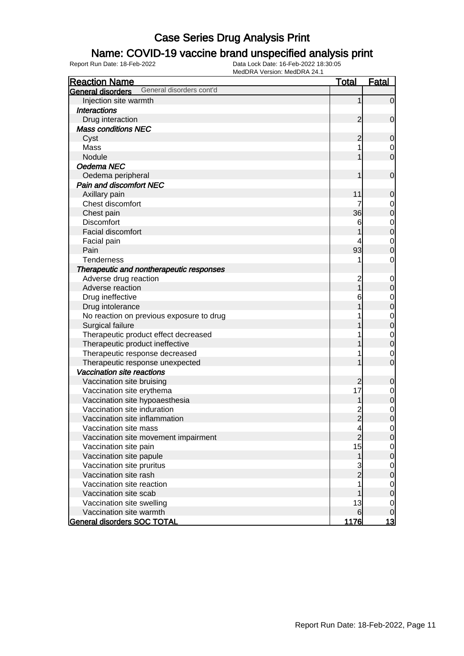#### Name: COVID-19 vaccine brand unspecified analysis print

| <b>Reaction Name</b>                                 | <u>Total</u>   | <b>Fatal</b>     |
|------------------------------------------------------|----------------|------------------|
| General disorders cont'd<br><b>General disorders</b> |                |                  |
| Injection site warmth                                | 1              | $\mathbf 0$      |
| <b>Interactions</b>                                  |                |                  |
| Drug interaction                                     | $\overline{2}$ | $\mathbf 0$      |
| <b>Mass conditions NEC</b>                           |                |                  |
| Cyst                                                 | $\overline{c}$ | 0                |
| Mass                                                 |                | $\mathbf 0$      |
| Nodule                                               |                | $\overline{0}$   |
| Oedema NEC                                           |                |                  |
| Oedema peripheral                                    |                | $\mathbf 0$      |
| <b>Pain and discomfort NEC</b>                       |                |                  |
| Axillary pain                                        | 11             | $\mathbf 0$      |
| Chest discomfort                                     | 7              | $\mathbf 0$      |
| Chest pain                                           | 36             | $\mathbf 0$      |
| <b>Discomfort</b>                                    | 6              | $\mathbf 0$      |
| <b>Facial discomfort</b>                             |                | $\mathbf 0$      |
| Facial pain                                          |                | $\mathbf 0$      |
| Pain                                                 | 93             | $\mathbf 0$      |
| <b>Tenderness</b>                                    |                | $\mathbf 0$      |
| Therapeutic and nontherapeutic responses             |                |                  |
| Adverse drug reaction                                | $\overline{c}$ | $\mathbf 0$      |
| Adverse reaction                                     |                | $\mathbf 0$      |
| Drug ineffective                                     | 6              | $\mathbf 0$      |
| Drug intolerance                                     |                | $\mathbf 0$      |
| No reaction on previous exposure to drug             |                | $\mathbf 0$      |
| Surgical failure                                     |                | $\overline{0}$   |
| Therapeutic product effect decreased                 |                | $\mathbf 0$      |
| Therapeutic product ineffective                      |                | $\overline{0}$   |
| Therapeutic response decreased                       |                | $\mathbf 0$      |
| Therapeutic response unexpected                      |                | $\overline{0}$   |
| Vaccination site reactions                           |                |                  |
| Vaccination site bruising                            | $\overline{c}$ | $\mathbf 0$      |
| Vaccination site erythema                            | 17             | $\mathbf 0$      |
| Vaccination site hypoaesthesia                       |                | $\mathbf 0$      |
| Vaccination site induration                          |                | $\mathbf 0$      |
| Vaccination site inflammation                        | $\frac{2}{2}$  | $\overline{0}$   |
| Vaccination site mass                                | 4              | $\overline{0}$   |
| Vaccination site movement impairment                 | $\overline{c}$ | $\mathbf 0$      |
| Vaccination site pain                                | 15             | $\overline{0}$   |
| Vaccination site papule                              | $\mathbf{1}$   | $\overline{0}$   |
| Vaccination site pruritus                            |                | $\mathbf 0$      |
| Vaccination site rash                                | $\frac{3}{2}$  | $\mathbf 0$      |
| Vaccination site reaction                            |                | $\mathbf 0$      |
| Vaccination site scab                                |                | $\mathbf 0$      |
| Vaccination site swelling                            | 13             | $\mathbf 0$      |
| Vaccination site warmth                              | 6              | $\boldsymbol{0}$ |
| General disorders SOC TOTAL                          | 1176           | <u> 13</u>       |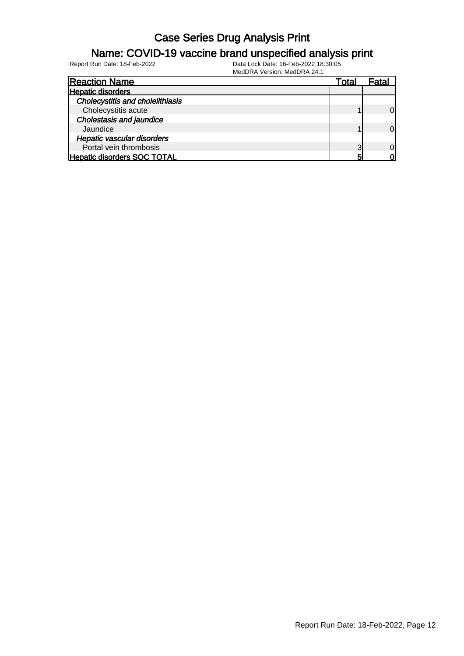#### Name: COVID-19 vaccine brand unspecified analysis print

| <b>Reaction Name</b>                    | Total | -atal    |
|-----------------------------------------|-------|----------|
| <b>Hepatic disorders</b>                |       |          |
| <b>Cholecystitis and cholelithiasis</b> |       |          |
| Cholecystitis acute                     |       | $\Omega$ |
| <b>Cholestasis and jaundice</b>         |       |          |
| Jaundice                                |       | $\Omega$ |
| Hepatic vascular disorders              |       |          |
| Portal vein thrombosis                  | ◠     | $\Omega$ |
| <b>Hepatic disorders SOC TOTAL</b>      | 5     | വ        |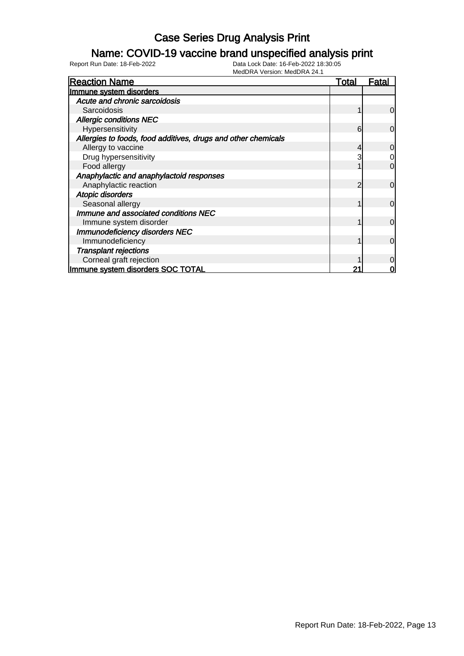### Name: COVID-19 vaccine brand unspecified analysis print

| <b>Reaction Name</b>                                          | Total | <b>Fatal</b>   |
|---------------------------------------------------------------|-------|----------------|
| Immune system disorders                                       |       |                |
| Acute and chronic sarcoidosis                                 |       |                |
| Sarcoidosis                                                   |       | $\Omega$       |
| <b>Allergic conditions NEC</b>                                |       |                |
| Hypersensitivity                                              | 6     | $\Omega$       |
| Allergies to foods, food additives, drugs and other chemicals |       |                |
| Allergy to vaccine                                            |       | 0              |
| Drug hypersensitivity                                         | 3     | 0              |
| Food allergy                                                  |       | 0              |
| Anaphylactic and anaphylactoid responses                      |       |                |
| Anaphylactic reaction                                         |       | $\mathbf 0$    |
| Atopic disorders                                              |       |                |
| Seasonal allergy                                              |       | $\Omega$       |
| Immune and associated conditions NEC                          |       |                |
| Immune system disorder                                        |       | $\overline{0}$ |
| <b>Immunodeficiency disorders NEC</b>                         |       |                |
| Immunodeficiency                                              |       | $\Omega$       |
| <b>Transplant rejections</b>                                  |       |                |
| Corneal graft rejection                                       |       | 0              |
| Immune system disorders SOC TOTAL                             |       |                |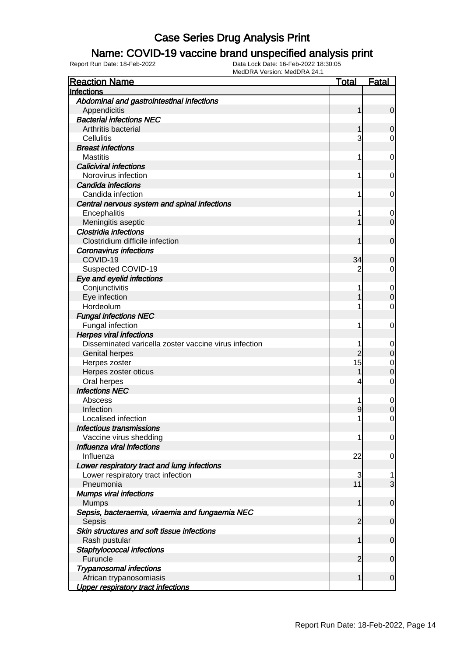#### Name: COVID-19 vaccine brand unspecified analysis print

| <b>Reaction Name</b>                                  | <u>Total</u>   | <b>Fatal</b> |
|-------------------------------------------------------|----------------|--------------|
| Infections                                            |                |              |
| Abdominal and gastrointestinal infections             |                |              |
| Appendicitis                                          | 1              | $\mathbf 0$  |
| <b>Bacterial infections NEC</b>                       |                |              |
| Arthritis bacterial                                   |                | 0            |
| <b>Cellulitis</b>                                     | 3              | 0            |
| <b>Breast infections</b>                              |                |              |
| <b>Mastitis</b>                                       | 1              | 0            |
| <b>Caliciviral infections</b>                         |                |              |
| Norovirus infection                                   | 1              | 0            |
| Candida infections                                    |                |              |
| Candida infection                                     | 1              | 0            |
| Central nervous system and spinal infections          |                |              |
| Encephalitis                                          |                | 0            |
| Meningitis aseptic                                    |                | $\mathbf 0$  |
| Clostridia infections                                 |                |              |
| Clostridium difficile infection                       | 1              | $\mathbf 0$  |
| <b>Coronavirus infections</b>                         |                |              |
| COVID-19                                              | 34             | 0            |
| Suspected COVID-19                                    | 2              | 0            |
| Eye and eyelid infections                             |                |              |
| Conjunctivitis                                        |                | 0            |
| Eye infection                                         |                | $\mathbf 0$  |
| Hordeolum                                             |                | 0            |
| <b>Fungal infections NEC</b>                          |                |              |
| Fungal infection                                      | 1              | 0            |
| <b>Herpes viral infections</b>                        |                |              |
| Disseminated varicella zoster vaccine virus infection |                | 0            |
| <b>Genital herpes</b>                                 | 2              | $\mathbf 0$  |
| Herpes zoster                                         | 15             | 0            |
| Herpes zoster oticus                                  |                | 0            |
| Oral herpes                                           | 4              | $\mathbf 0$  |
| <b>Infections NEC</b>                                 |                |              |
| Abscess                                               |                | $\mathbf 0$  |
| Infection                                             | 9              | $\mathbf 0$  |
| Localised infection                                   | 1              | 0            |
| Infectious transmissions                              |                |              |
| Vaccine virus shedding                                | 1              | 0            |
| Influenza viral infections                            |                |              |
| Influenza                                             | 22             | 0            |
| Lower respiratory tract and lung infections           |                |              |
| Lower respiratory tract infection                     | 3              | 1            |
| Pneumonia                                             | 11             | 3            |
| <b>Mumps viral infections</b>                         |                |              |
| <b>Mumps</b>                                          | 1              | $\mathbf 0$  |
| Sepsis, bacteraemia, viraemia and fungaemia NEC       |                |              |
| Sepsis                                                | $\overline{2}$ | $\mathbf 0$  |
| Skin structures and soft tissue infections            |                |              |
| Rash pustular                                         | 1              | $\mathbf 0$  |
| Staphylococcal infections                             |                |              |
| Furuncle                                              | $\overline{2}$ | $\mathbf 0$  |
| <b>Trypanosomal infections</b>                        |                |              |
| African trypanosomiasis                               | 1              | $\mathbf 0$  |
| <b>Upper respiratory tract infections</b>             |                |              |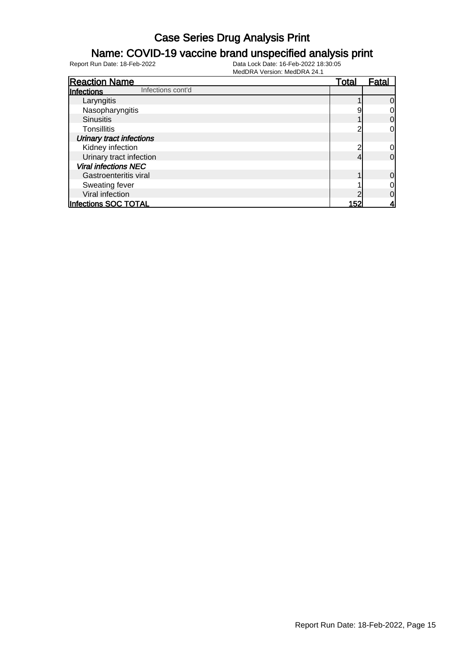#### Name: COVID-19 vaccine brand unspecified analysis print

| <b>Reaction Name</b>                   | <b>Total</b> | <b>Fatal</b>   |
|----------------------------------------|--------------|----------------|
| Infections cont'd<br><b>Infections</b> |              |                |
| Laryngitis                             |              | $\overline{0}$ |
| Nasopharyngitis                        | Š            | $\overline{0}$ |
| <b>Sinusitis</b>                       |              | $\overline{0}$ |
| <b>Tonsillitis</b>                     | ╭            | 0              |
| <b>Urinary tract infections</b>        |              |                |
| Kidney infection                       | ╭            | $\overline{0}$ |
| Urinary tract infection                |              | $\overline{0}$ |
| <b>Viral infections NEC</b>            |              |                |
| Gastroenteritis viral                  |              | $\overline{0}$ |
| Sweating fever                         |              | $\overline{0}$ |
| Viral infection                        |              | 0              |
| Infections SOC TOTAL                   | 152          | 4              |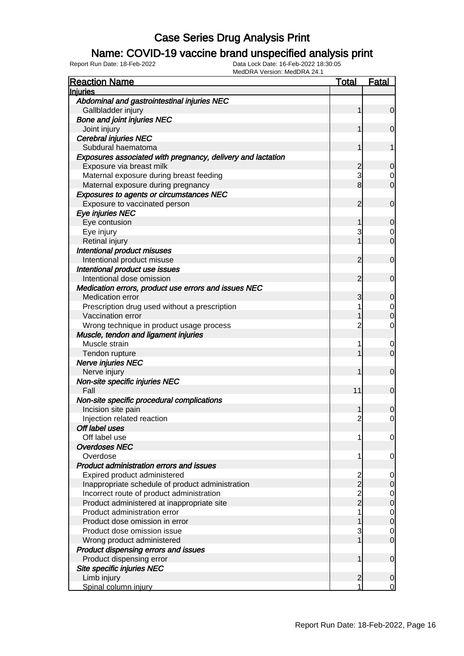#### Name: COVID-19 vaccine brand unspecified analysis print

| <b>Reaction Name</b>                                        | <b>Total</b>   | <b>Fatal</b>     |
|-------------------------------------------------------------|----------------|------------------|
| <b>Injuries</b>                                             |                |                  |
| Abdominal and gastrointestinal injuries NEC                 |                |                  |
| Gallbladder injury                                          | 1              | $\overline{0}$   |
| <b>Bone and joint injuries NEC</b>                          |                |                  |
| Joint injury                                                | 1              | $\mathbf 0$      |
| <b>Cerebral injuries NEC</b>                                |                |                  |
| Subdural haematoma                                          | 1              | 1                |
| Exposures associated with pregnancy, delivery and lactation |                |                  |
| Exposure via breast milk                                    | $\overline{c}$ | $\mathbf 0$      |
| Maternal exposure during breast feeding                     | 3              | 0                |
| Maternal exposure during pregnancy                          | 8              | $\mathbf 0$      |
| <b>Exposures to agents or circumstances NEC</b>             |                |                  |
| Exposure to vaccinated person                               | 2              | $\mathbf 0$      |
| Eye injuries NEC                                            |                |                  |
| Eye contusion                                               | 1              | $\mathbf 0$      |
| Eye injury                                                  | 3              | 0                |
| Retinal injury                                              |                | $\mathbf 0$      |
| Intentional product misuses                                 |                |                  |
| Intentional product misuse                                  | 2              | $\mathbf 0$      |
| Intentional product use issues                              |                |                  |
| Intentional dose omission                                   | $\overline{2}$ | $\mathbf 0$      |
| Medication errors, product use errors and issues NEC        |                |                  |
| <b>Medication error</b>                                     | 3              | $\mathbf 0$      |
| Prescription drug used without a prescription               |                | $\mathbf 0$      |
| Vaccination error                                           |                | $\overline{0}$   |
| Wrong technique in product usage process                    | 2              | $\mathbf 0$      |
| Muscle, tendon and ligament injuries                        |                |                  |
| Muscle strain                                               |                | $\mathbf 0$      |
| Tendon rupture                                              |                | $\mathbf 0$      |
| Nerve injuries NEC                                          |                |                  |
| Nerve injury                                                | 1              | $\mathbf 0$      |
| Non-site specific injuries NEC                              |                |                  |
| Fall                                                        | 11             | $\mathbf 0$      |
| Non-site specific procedural complications                  |                |                  |
| Incision site pain                                          |                | $\boldsymbol{0}$ |
| Injection related reaction                                  | $\overline{2}$ | $\mathbf 0$      |
| Off label uses                                              |                |                  |
| Off label use                                               | 1              | $\overline{0}$   |
| <b>Overdoses NEC</b>                                        |                |                  |
| Overdose                                                    | 1              | 0                |
| Product administration errors and issues                    |                |                  |
| Expired product administered                                | $\overline{c}$ | 0                |
| Inappropriate schedule of product administration            | $\overline{2}$ | $\boldsymbol{0}$ |
| Incorrect route of product administration                   | $\overline{c}$ | $\mathbf 0$      |
| Product administered at inappropriate site                  | $\overline{2}$ | $\mathbf 0$      |
| Product administration error                                |                | $\overline{0}$   |
| Product dose omission in error                              |                | $\overline{0}$   |
| Product dose omission issue                                 | 3              | $\mathbf 0$      |
| Wrong product administered                                  |                | $\overline{0}$   |
| Product dispensing errors and issues                        |                |                  |
| Product dispensing error                                    | 1              | $\mathbf 0$      |
| Site specific injuries NEC                                  |                |                  |
| Limb injury                                                 | $\overline{2}$ | $\mathbf 0$      |
| Spinal column injury                                        | 1              | $\Omega$         |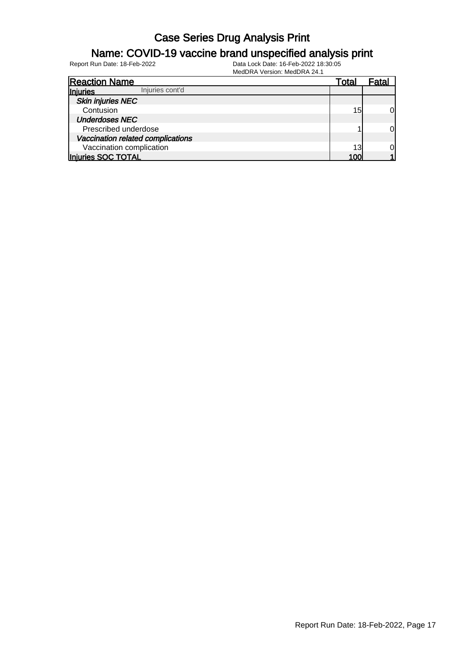### Name: COVID-19 vaccine brand unspecified analysis print

| <b>Reaction Name</b>              | Total | Fatal |
|-----------------------------------|-------|-------|
| Injuries cont'd<br>Injuries       |       |       |
| <b>Skin injuries NEC</b>          |       |       |
| Contusion                         | 15    | 0l    |
| <b>Underdoses NEC</b>             |       |       |
| Prescribed underdose              |       | 0     |
| Vaccination related complications |       |       |
| Vaccination complication          | 13    | 01    |
| Injuries SOC TOTAL                | 100   |       |
|                                   |       |       |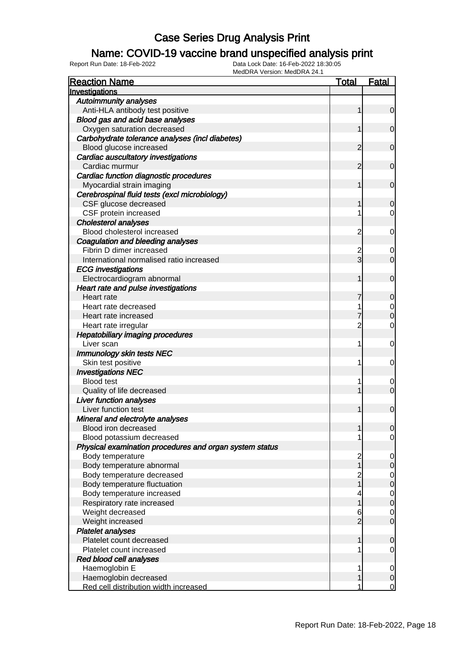### Name: COVID-19 vaccine brand unspecified analysis print

Report Run Date: 18-Feb-2022 Data Lock Date: 16-Feb-2022 18:30:05

MedDRA Version: MedDRA 24.1

| <b>Reaction Name</b>                                    | <u>Total</u>   | <b>Fatal</b>     |
|---------------------------------------------------------|----------------|------------------|
| Investigations                                          |                |                  |
| <b>Autoimmunity analyses</b>                            |                |                  |
| Anti-HLA antibody test positive                         | 1              | $\overline{0}$   |
| Blood gas and acid base analyses                        |                |                  |
| Oxygen saturation decreased                             | 1              | 0                |
| Carbohydrate tolerance analyses (incl diabetes)         |                |                  |
| Blood glucose increased                                 | 2              | 0                |
| Cardiac auscultatory investigations                     |                |                  |
| Cardiac murmur                                          | 2              | 0                |
| Cardiac function diagnostic procedures                  |                |                  |
| Myocardial strain imaging                               | 1              | 0                |
| Cerebrospinal fluid tests (excl microbiology)           |                |                  |
| CSF glucose decreased                                   |                | 0                |
| CSF protein increased                                   |                | 0                |
| <b>Cholesterol analyses</b>                             |                |                  |
| Blood cholesterol increased                             | 2              | 0                |
| Coagulation and bleeding analyses                       |                |                  |
| Fibrin D dimer increased                                | 2              | 0                |
| International normalised ratio increased                | $\overline{3}$ | 0                |
| <b>ECG</b> investigations                               |                |                  |
| Electrocardiogram abnormal                              | 1              | 0                |
| Heart rate and pulse investigations                     |                |                  |
| Heart rate                                              |                | 0                |
| Heart rate decreased                                    |                | 0                |
| Heart rate increased                                    |                | 0                |
| Heart rate irregular                                    | $\overline{2}$ | 0                |
| <b>Hepatobiliary imaging procedures</b>                 |                |                  |
| Liver scan                                              | 1              | 0                |
| Immunology skin tests NEC                               |                |                  |
| Skin test positive                                      | 1              | 0                |
| <b>Investigations NEC</b>                               |                |                  |
| <b>Blood test</b>                                       |                | 0                |
| Quality of life decreased                               |                | 0                |
| <b>Liver function analyses</b>                          |                |                  |
| Liver function test                                     | 1              | $\mathbf 0$      |
| Mineral and electrolyte analyses                        |                |                  |
| Blood iron decreased                                    |                | $\overline{0}$   |
| Blood potassium decreased                               |                | $\overline{0}$   |
| Physical examination procedures and organ system status |                |                  |
| Body temperature                                        | $\overline{c}$ | $\mathbf 0$      |
| Body temperature abnormal                               |                | 0                |
| Body temperature decreased                              |                | $\overline{0}$   |
| Body temperature fluctuation                            | 2<br>1         | 0                |
| Body temperature increased                              | 4              | $\mathbf 0$      |
| Respiratory rate increased                              | 1              | $\boldsymbol{0}$ |
| Weight decreased                                        | 6              | 0                |
| Weight increased                                        | $\overline{2}$ | $\mathbf 0$      |
| <b>Platelet analyses</b>                                |                |                  |
| Platelet count decreased                                | 1              | $\mathbf 0$      |
| Platelet count increased                                |                | $\mathbf 0$      |
| Red blood cell analyses                                 |                |                  |
| Haemoglobin E                                           | 1              | 0                |
| Haemoglobin decreased                                   |                | 0                |
| Red cell distribution width increased                   |                | 0                |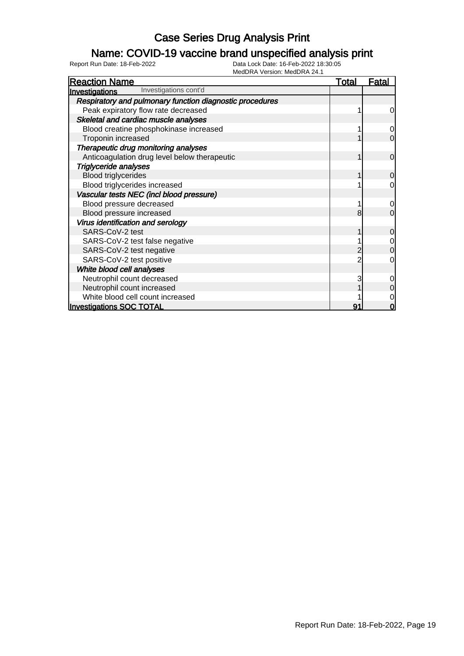### Name: COVID-19 vaccine brand unspecified analysis print

| <b>Reaction Name</b>                                     | <u>Total</u> | <u>Fatal</u>   |
|----------------------------------------------------------|--------------|----------------|
| Investigations cont'd<br>Investigations                  |              |                |
| Respiratory and pulmonary function diagnostic procedures |              |                |
| Peak expiratory flow rate decreased                      |              | $\overline{0}$ |
| Skeletal and cardiac muscle analyses                     |              |                |
| Blood creatine phosphokinase increased                   |              | 0              |
| Troponin increased                                       |              | $\Omega$       |
| Therapeutic drug monitoring analyses                     |              |                |
| Anticoagulation drug level below therapeutic             |              | $\overline{0}$ |
| <b>Triglyceride analyses</b>                             |              |                |
| <b>Blood triglycerides</b>                               |              | 0              |
| Blood triglycerides increased                            |              | 0              |
| Vascular tests NEC (incl blood pressure)                 |              |                |
| Blood pressure decreased                                 |              | $\overline{0}$ |
| Blood pressure increased                                 | 8            | $\mathbf 0$    |
| Virus identification and serology                        |              |                |
| SARS-CoV-2 test                                          |              | $\mathbf 0$    |
| SARS-CoV-2 test false negative                           |              | $\mathbf 0$    |
| SARS-CoV-2 test negative                                 |              | 0              |
| SARS-CoV-2 test positive                                 |              | 0              |
| White blood cell analyses                                |              |                |
| Neutrophil count decreased                               |              | 0              |
| Neutrophil count increased                               |              | 0              |
| White blood cell count increased                         |              | 0              |
| <b>Investigations SOC TOTAL</b>                          | 91           | O              |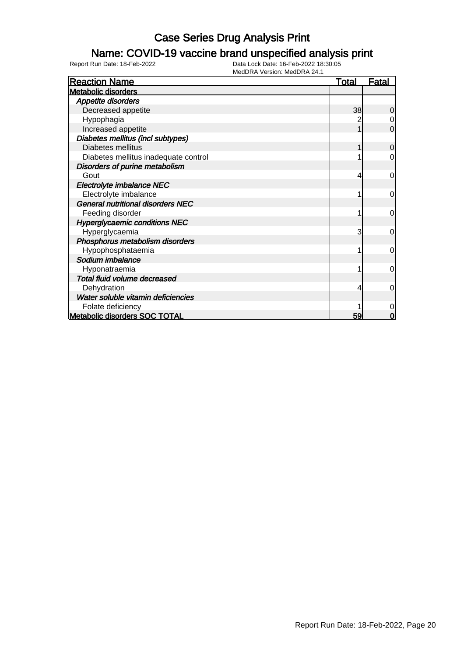### Name: COVID-19 vaccine brand unspecified analysis print

| <b>Reaction Name</b>                     | <b>Total</b> | <u>Fatal</u>   |
|------------------------------------------|--------------|----------------|
| <b>Metabolic disorders</b>               |              |                |
| Appetite disorders                       |              |                |
| Decreased appetite                       | 38           | $\overline{0}$ |
| Hypophagia                               | 2            | 0              |
| Increased appetite                       |              | $\overline{0}$ |
| Diabetes mellitus (incl subtypes)        |              |                |
| Diabetes mellitus                        |              | $\overline{0}$ |
| Diabetes mellitus inadequate control     |              | 0              |
| Disorders of purine metabolism           |              |                |
| Gout                                     | 4            | $\overline{0}$ |
| Electrolyte imbalance NEC                |              |                |
| Electrolyte imbalance                    |              | $\overline{0}$ |
| <b>General nutritional disorders NEC</b> |              |                |
| Feeding disorder                         |              | $\overline{0}$ |
| <b>Hyperglycaemic conditions NEC</b>     |              |                |
| Hyperglycaemia                           | 3            | $\overline{0}$ |
| Phosphorus metabolism disorders          |              |                |
| Hypophosphataemia                        |              | $\overline{0}$ |
| Sodium imbalance                         |              |                |
| Hyponatraemia                            |              | $\overline{0}$ |
| Total fluid volume decreased             |              |                |
| Dehydration                              | 4            | $\overline{0}$ |
| Water soluble vitamin deficiencies       |              |                |
| Folate deficiency                        |              | 0              |
| <b>Metabolic disorders SOC TOTAL</b>     | 59           | 0              |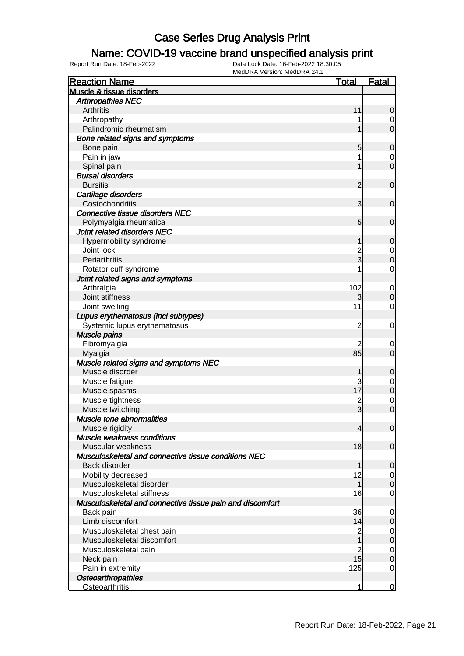### Name: COVID-19 vaccine brand unspecified analysis print

| Muscle & tissue disorders<br><b>Arthropathies NEC</b><br>Arthritis<br>11<br>$\mathbf 0$<br>Arthropathy<br>0<br>$\overline{0}$<br>Palindromic rheumatism<br>Bone related signs and symptoms<br>Bone pain<br>5<br>$\mathbf 0$<br>Pain in jaw<br>0<br>$\mathbf 0$<br>Spinal pain<br><b>Bursal disorders</b><br><b>Bursitis</b><br>$\overline{2}$<br>$\mathbf 0$<br>Cartilage disorders<br>Costochondritis<br>3<br>$\mathbf 0$<br><b>Connective tissue disorders NEC</b><br>Polymyalgia rheumatica<br>$5\overline{)}$<br>$\mathbf 0$<br>Joint related disorders NEC<br>Hypermobility syndrome<br>1<br>$\mathbf 0$<br>Joint lock<br>$\overline{c}$<br>0<br>3<br>Periarthritis<br>$\mathbf 0$<br>Rotator cuff syndrome<br>$\mathbf 0$<br>Joint related signs and symptoms<br>Arthralgia<br>102<br>$\mathbf 0$<br>Joint stiffness<br>3<br>$\mathbf 0$<br>11<br>Joint swelling<br>$\mathbf 0$<br>Lupus erythematosus (incl subtypes)<br>Systemic lupus erythematosus<br>$\overline{2}$<br>0<br>Muscle pains<br>Fibromyalgia<br>2<br>0<br>85<br>$\mathbf 0$<br>Myalgia<br>Muscle related signs and symptoms NEC<br>Muscle disorder<br>1<br>$\mathbf 0$<br>Muscle fatigue<br>3<br>0<br>17<br>$\mathbf 0$<br>Muscle spasms<br>Muscle tightness<br>$\overline{c}$<br>$\mathbf 0$<br>$\overline{3}$<br>Muscle twitching<br>$\mathbf 0$<br>Muscle tone abnormalities<br>Muscle rigidity<br>$\overline{4}$<br>$\overline{0}$<br>Muscle weakness conditions<br>18<br>Muscular weakness<br>$\mathbf 0$<br>Musculoskeletal and connective tissue conditions NEC<br>Back disorder<br>1<br>$\mathbf 0$<br>Mobility decreased<br>12<br>0<br>Musculoskeletal disorder<br>1<br>$\boldsymbol{0}$<br>Musculoskeletal stiffness<br>16<br>$\overline{0}$<br>Musculoskeletal and connective tissue pain and discomfort<br>36<br>Back pain<br>$\mathbf 0$<br>Limb discomfort<br>14<br>$\mathbf 0$<br>Musculoskeletal chest pain<br>$\overline{c}$<br>$\overline{0}$<br>1<br>Musculoskeletal discomfort<br>$\pmb{0}$<br>$\overline{c}$<br>Musculoskeletal pain<br>$\overline{0}$<br>15<br>$\boldsymbol{0}$<br>Neck pain<br>Pain in extremity<br>125<br>$\overline{0}$<br>Osteoarthropathies | <b>Reaction Name</b>  | <b>Total</b> | Fatal       |
|---------------------------------------------------------------------------------------------------------------------------------------------------------------------------------------------------------------------------------------------------------------------------------------------------------------------------------------------------------------------------------------------------------------------------------------------------------------------------------------------------------------------------------------------------------------------------------------------------------------------------------------------------------------------------------------------------------------------------------------------------------------------------------------------------------------------------------------------------------------------------------------------------------------------------------------------------------------------------------------------------------------------------------------------------------------------------------------------------------------------------------------------------------------------------------------------------------------------------------------------------------------------------------------------------------------------------------------------------------------------------------------------------------------------------------------------------------------------------------------------------------------------------------------------------------------------------------------------------------------------------------------------------------------------------------------------------------------------------------------------------------------------------------------------------------------------------------------------------------------------------------------------------------------------------------------------------------------------------------------------------------------------------------------------------------------------------------------------------------------------------------------------------------------|-----------------------|--------------|-------------|
|                                                                                                                                                                                                                                                                                                                                                                                                                                                                                                                                                                                                                                                                                                                                                                                                                                                                                                                                                                                                                                                                                                                                                                                                                                                                                                                                                                                                                                                                                                                                                                                                                                                                                                                                                                                                                                                                                                                                                                                                                                                                                                                                                               |                       |              |             |
|                                                                                                                                                                                                                                                                                                                                                                                                                                                                                                                                                                                                                                                                                                                                                                                                                                                                                                                                                                                                                                                                                                                                                                                                                                                                                                                                                                                                                                                                                                                                                                                                                                                                                                                                                                                                                                                                                                                                                                                                                                                                                                                                                               |                       |              |             |
|                                                                                                                                                                                                                                                                                                                                                                                                                                                                                                                                                                                                                                                                                                                                                                                                                                                                                                                                                                                                                                                                                                                                                                                                                                                                                                                                                                                                                                                                                                                                                                                                                                                                                                                                                                                                                                                                                                                                                                                                                                                                                                                                                               |                       |              |             |
|                                                                                                                                                                                                                                                                                                                                                                                                                                                                                                                                                                                                                                                                                                                                                                                                                                                                                                                                                                                                                                                                                                                                                                                                                                                                                                                                                                                                                                                                                                                                                                                                                                                                                                                                                                                                                                                                                                                                                                                                                                                                                                                                                               |                       |              |             |
|                                                                                                                                                                                                                                                                                                                                                                                                                                                                                                                                                                                                                                                                                                                                                                                                                                                                                                                                                                                                                                                                                                                                                                                                                                                                                                                                                                                                                                                                                                                                                                                                                                                                                                                                                                                                                                                                                                                                                                                                                                                                                                                                                               |                       |              |             |
|                                                                                                                                                                                                                                                                                                                                                                                                                                                                                                                                                                                                                                                                                                                                                                                                                                                                                                                                                                                                                                                                                                                                                                                                                                                                                                                                                                                                                                                                                                                                                                                                                                                                                                                                                                                                                                                                                                                                                                                                                                                                                                                                                               |                       |              |             |
|                                                                                                                                                                                                                                                                                                                                                                                                                                                                                                                                                                                                                                                                                                                                                                                                                                                                                                                                                                                                                                                                                                                                                                                                                                                                                                                                                                                                                                                                                                                                                                                                                                                                                                                                                                                                                                                                                                                                                                                                                                                                                                                                                               |                       |              |             |
|                                                                                                                                                                                                                                                                                                                                                                                                                                                                                                                                                                                                                                                                                                                                                                                                                                                                                                                                                                                                                                                                                                                                                                                                                                                                                                                                                                                                                                                                                                                                                                                                                                                                                                                                                                                                                                                                                                                                                                                                                                                                                                                                                               |                       |              |             |
|                                                                                                                                                                                                                                                                                                                                                                                                                                                                                                                                                                                                                                                                                                                                                                                                                                                                                                                                                                                                                                                                                                                                                                                                                                                                                                                                                                                                                                                                                                                                                                                                                                                                                                                                                                                                                                                                                                                                                                                                                                                                                                                                                               |                       |              |             |
|                                                                                                                                                                                                                                                                                                                                                                                                                                                                                                                                                                                                                                                                                                                                                                                                                                                                                                                                                                                                                                                                                                                                                                                                                                                                                                                                                                                                                                                                                                                                                                                                                                                                                                                                                                                                                                                                                                                                                                                                                                                                                                                                                               |                       |              |             |
|                                                                                                                                                                                                                                                                                                                                                                                                                                                                                                                                                                                                                                                                                                                                                                                                                                                                                                                                                                                                                                                                                                                                                                                                                                                                                                                                                                                                                                                                                                                                                                                                                                                                                                                                                                                                                                                                                                                                                                                                                                                                                                                                                               |                       |              |             |
|                                                                                                                                                                                                                                                                                                                                                                                                                                                                                                                                                                                                                                                                                                                                                                                                                                                                                                                                                                                                                                                                                                                                                                                                                                                                                                                                                                                                                                                                                                                                                                                                                                                                                                                                                                                                                                                                                                                                                                                                                                                                                                                                                               |                       |              |             |
|                                                                                                                                                                                                                                                                                                                                                                                                                                                                                                                                                                                                                                                                                                                                                                                                                                                                                                                                                                                                                                                                                                                                                                                                                                                                                                                                                                                                                                                                                                                                                                                                                                                                                                                                                                                                                                                                                                                                                                                                                                                                                                                                                               |                       |              |             |
|                                                                                                                                                                                                                                                                                                                                                                                                                                                                                                                                                                                                                                                                                                                                                                                                                                                                                                                                                                                                                                                                                                                                                                                                                                                                                                                                                                                                                                                                                                                                                                                                                                                                                                                                                                                                                                                                                                                                                                                                                                                                                                                                                               |                       |              |             |
|                                                                                                                                                                                                                                                                                                                                                                                                                                                                                                                                                                                                                                                                                                                                                                                                                                                                                                                                                                                                                                                                                                                                                                                                                                                                                                                                                                                                                                                                                                                                                                                                                                                                                                                                                                                                                                                                                                                                                                                                                                                                                                                                                               |                       |              |             |
|                                                                                                                                                                                                                                                                                                                                                                                                                                                                                                                                                                                                                                                                                                                                                                                                                                                                                                                                                                                                                                                                                                                                                                                                                                                                                                                                                                                                                                                                                                                                                                                                                                                                                                                                                                                                                                                                                                                                                                                                                                                                                                                                                               |                       |              |             |
|                                                                                                                                                                                                                                                                                                                                                                                                                                                                                                                                                                                                                                                                                                                                                                                                                                                                                                                                                                                                                                                                                                                                                                                                                                                                                                                                                                                                                                                                                                                                                                                                                                                                                                                                                                                                                                                                                                                                                                                                                                                                                                                                                               |                       |              |             |
|                                                                                                                                                                                                                                                                                                                                                                                                                                                                                                                                                                                                                                                                                                                                                                                                                                                                                                                                                                                                                                                                                                                                                                                                                                                                                                                                                                                                                                                                                                                                                                                                                                                                                                                                                                                                                                                                                                                                                                                                                                                                                                                                                               |                       |              |             |
|                                                                                                                                                                                                                                                                                                                                                                                                                                                                                                                                                                                                                                                                                                                                                                                                                                                                                                                                                                                                                                                                                                                                                                                                                                                                                                                                                                                                                                                                                                                                                                                                                                                                                                                                                                                                                                                                                                                                                                                                                                                                                                                                                               |                       |              |             |
|                                                                                                                                                                                                                                                                                                                                                                                                                                                                                                                                                                                                                                                                                                                                                                                                                                                                                                                                                                                                                                                                                                                                                                                                                                                                                                                                                                                                                                                                                                                                                                                                                                                                                                                                                                                                                                                                                                                                                                                                                                                                                                                                                               |                       |              |             |
|                                                                                                                                                                                                                                                                                                                                                                                                                                                                                                                                                                                                                                                                                                                                                                                                                                                                                                                                                                                                                                                                                                                                                                                                                                                                                                                                                                                                                                                                                                                                                                                                                                                                                                                                                                                                                                                                                                                                                                                                                                                                                                                                                               |                       |              |             |
|                                                                                                                                                                                                                                                                                                                                                                                                                                                                                                                                                                                                                                                                                                                                                                                                                                                                                                                                                                                                                                                                                                                                                                                                                                                                                                                                                                                                                                                                                                                                                                                                                                                                                                                                                                                                                                                                                                                                                                                                                                                                                                                                                               |                       |              |             |
|                                                                                                                                                                                                                                                                                                                                                                                                                                                                                                                                                                                                                                                                                                                                                                                                                                                                                                                                                                                                                                                                                                                                                                                                                                                                                                                                                                                                                                                                                                                                                                                                                                                                                                                                                                                                                                                                                                                                                                                                                                                                                                                                                               |                       |              |             |
|                                                                                                                                                                                                                                                                                                                                                                                                                                                                                                                                                                                                                                                                                                                                                                                                                                                                                                                                                                                                                                                                                                                                                                                                                                                                                                                                                                                                                                                                                                                                                                                                                                                                                                                                                                                                                                                                                                                                                                                                                                                                                                                                                               |                       |              |             |
|                                                                                                                                                                                                                                                                                                                                                                                                                                                                                                                                                                                                                                                                                                                                                                                                                                                                                                                                                                                                                                                                                                                                                                                                                                                                                                                                                                                                                                                                                                                                                                                                                                                                                                                                                                                                                                                                                                                                                                                                                                                                                                                                                               |                       |              |             |
|                                                                                                                                                                                                                                                                                                                                                                                                                                                                                                                                                                                                                                                                                                                                                                                                                                                                                                                                                                                                                                                                                                                                                                                                                                                                                                                                                                                                                                                                                                                                                                                                                                                                                                                                                                                                                                                                                                                                                                                                                                                                                                                                                               |                       |              |             |
|                                                                                                                                                                                                                                                                                                                                                                                                                                                                                                                                                                                                                                                                                                                                                                                                                                                                                                                                                                                                                                                                                                                                                                                                                                                                                                                                                                                                                                                                                                                                                                                                                                                                                                                                                                                                                                                                                                                                                                                                                                                                                                                                                               |                       |              |             |
|                                                                                                                                                                                                                                                                                                                                                                                                                                                                                                                                                                                                                                                                                                                                                                                                                                                                                                                                                                                                                                                                                                                                                                                                                                                                                                                                                                                                                                                                                                                                                                                                                                                                                                                                                                                                                                                                                                                                                                                                                                                                                                                                                               |                       |              |             |
|                                                                                                                                                                                                                                                                                                                                                                                                                                                                                                                                                                                                                                                                                                                                                                                                                                                                                                                                                                                                                                                                                                                                                                                                                                                                                                                                                                                                                                                                                                                                                                                                                                                                                                                                                                                                                                                                                                                                                                                                                                                                                                                                                               |                       |              |             |
|                                                                                                                                                                                                                                                                                                                                                                                                                                                                                                                                                                                                                                                                                                                                                                                                                                                                                                                                                                                                                                                                                                                                                                                                                                                                                                                                                                                                                                                                                                                                                                                                                                                                                                                                                                                                                                                                                                                                                                                                                                                                                                                                                               |                       |              |             |
|                                                                                                                                                                                                                                                                                                                                                                                                                                                                                                                                                                                                                                                                                                                                                                                                                                                                                                                                                                                                                                                                                                                                                                                                                                                                                                                                                                                                                                                                                                                                                                                                                                                                                                                                                                                                                                                                                                                                                                                                                                                                                                                                                               |                       |              |             |
|                                                                                                                                                                                                                                                                                                                                                                                                                                                                                                                                                                                                                                                                                                                                                                                                                                                                                                                                                                                                                                                                                                                                                                                                                                                                                                                                                                                                                                                                                                                                                                                                                                                                                                                                                                                                                                                                                                                                                                                                                                                                                                                                                               |                       |              |             |
|                                                                                                                                                                                                                                                                                                                                                                                                                                                                                                                                                                                                                                                                                                                                                                                                                                                                                                                                                                                                                                                                                                                                                                                                                                                                                                                                                                                                                                                                                                                                                                                                                                                                                                                                                                                                                                                                                                                                                                                                                                                                                                                                                               |                       |              |             |
|                                                                                                                                                                                                                                                                                                                                                                                                                                                                                                                                                                                                                                                                                                                                                                                                                                                                                                                                                                                                                                                                                                                                                                                                                                                                                                                                                                                                                                                                                                                                                                                                                                                                                                                                                                                                                                                                                                                                                                                                                                                                                                                                                               |                       |              |             |
|                                                                                                                                                                                                                                                                                                                                                                                                                                                                                                                                                                                                                                                                                                                                                                                                                                                                                                                                                                                                                                                                                                                                                                                                                                                                                                                                                                                                                                                                                                                                                                                                                                                                                                                                                                                                                                                                                                                                                                                                                                                                                                                                                               |                       |              |             |
|                                                                                                                                                                                                                                                                                                                                                                                                                                                                                                                                                                                                                                                                                                                                                                                                                                                                                                                                                                                                                                                                                                                                                                                                                                                                                                                                                                                                                                                                                                                                                                                                                                                                                                                                                                                                                                                                                                                                                                                                                                                                                                                                                               |                       |              |             |
|                                                                                                                                                                                                                                                                                                                                                                                                                                                                                                                                                                                                                                                                                                                                                                                                                                                                                                                                                                                                                                                                                                                                                                                                                                                                                                                                                                                                                                                                                                                                                                                                                                                                                                                                                                                                                                                                                                                                                                                                                                                                                                                                                               |                       |              |             |
|                                                                                                                                                                                                                                                                                                                                                                                                                                                                                                                                                                                                                                                                                                                                                                                                                                                                                                                                                                                                                                                                                                                                                                                                                                                                                                                                                                                                                                                                                                                                                                                                                                                                                                                                                                                                                                                                                                                                                                                                                                                                                                                                                               |                       |              |             |
|                                                                                                                                                                                                                                                                                                                                                                                                                                                                                                                                                                                                                                                                                                                                                                                                                                                                                                                                                                                                                                                                                                                                                                                                                                                                                                                                                                                                                                                                                                                                                                                                                                                                                                                                                                                                                                                                                                                                                                                                                                                                                                                                                               |                       |              |             |
|                                                                                                                                                                                                                                                                                                                                                                                                                                                                                                                                                                                                                                                                                                                                                                                                                                                                                                                                                                                                                                                                                                                                                                                                                                                                                                                                                                                                                                                                                                                                                                                                                                                                                                                                                                                                                                                                                                                                                                                                                                                                                                                                                               |                       |              |             |
|                                                                                                                                                                                                                                                                                                                                                                                                                                                                                                                                                                                                                                                                                                                                                                                                                                                                                                                                                                                                                                                                                                                                                                                                                                                                                                                                                                                                                                                                                                                                                                                                                                                                                                                                                                                                                                                                                                                                                                                                                                                                                                                                                               |                       |              |             |
|                                                                                                                                                                                                                                                                                                                                                                                                                                                                                                                                                                                                                                                                                                                                                                                                                                                                                                                                                                                                                                                                                                                                                                                                                                                                                                                                                                                                                                                                                                                                                                                                                                                                                                                                                                                                                                                                                                                                                                                                                                                                                                                                                               |                       |              |             |
|                                                                                                                                                                                                                                                                                                                                                                                                                                                                                                                                                                                                                                                                                                                                                                                                                                                                                                                                                                                                                                                                                                                                                                                                                                                                                                                                                                                                                                                                                                                                                                                                                                                                                                                                                                                                                                                                                                                                                                                                                                                                                                                                                               |                       |              |             |
|                                                                                                                                                                                                                                                                                                                                                                                                                                                                                                                                                                                                                                                                                                                                                                                                                                                                                                                                                                                                                                                                                                                                                                                                                                                                                                                                                                                                                                                                                                                                                                                                                                                                                                                                                                                                                                                                                                                                                                                                                                                                                                                                                               |                       |              |             |
|                                                                                                                                                                                                                                                                                                                                                                                                                                                                                                                                                                                                                                                                                                                                                                                                                                                                                                                                                                                                                                                                                                                                                                                                                                                                                                                                                                                                                                                                                                                                                                                                                                                                                                                                                                                                                                                                                                                                                                                                                                                                                                                                                               |                       |              |             |
|                                                                                                                                                                                                                                                                                                                                                                                                                                                                                                                                                                                                                                                                                                                                                                                                                                                                                                                                                                                                                                                                                                                                                                                                                                                                                                                                                                                                                                                                                                                                                                                                                                                                                                                                                                                                                                                                                                                                                                                                                                                                                                                                                               |                       |              |             |
|                                                                                                                                                                                                                                                                                                                                                                                                                                                                                                                                                                                                                                                                                                                                                                                                                                                                                                                                                                                                                                                                                                                                                                                                                                                                                                                                                                                                                                                                                                                                                                                                                                                                                                                                                                                                                                                                                                                                                                                                                                                                                                                                                               |                       |              |             |
|                                                                                                                                                                                                                                                                                                                                                                                                                                                                                                                                                                                                                                                                                                                                                                                                                                                                                                                                                                                                                                                                                                                                                                                                                                                                                                                                                                                                                                                                                                                                                                                                                                                                                                                                                                                                                                                                                                                                                                                                                                                                                                                                                               |                       |              |             |
|                                                                                                                                                                                                                                                                                                                                                                                                                                                                                                                                                                                                                                                                                                                                                                                                                                                                                                                                                                                                                                                                                                                                                                                                                                                                                                                                                                                                                                                                                                                                                                                                                                                                                                                                                                                                                                                                                                                                                                                                                                                                                                                                                               |                       |              |             |
|                                                                                                                                                                                                                                                                                                                                                                                                                                                                                                                                                                                                                                                                                                                                                                                                                                                                                                                                                                                                                                                                                                                                                                                                                                                                                                                                                                                                                                                                                                                                                                                                                                                                                                                                                                                                                                                                                                                                                                                                                                                                                                                                                               |                       |              |             |
|                                                                                                                                                                                                                                                                                                                                                                                                                                                                                                                                                                                                                                                                                                                                                                                                                                                                                                                                                                                                                                                                                                                                                                                                                                                                                                                                                                                                                                                                                                                                                                                                                                                                                                                                                                                                                                                                                                                                                                                                                                                                                                                                                               |                       |              |             |
|                                                                                                                                                                                                                                                                                                                                                                                                                                                                                                                                                                                                                                                                                                                                                                                                                                                                                                                                                                                                                                                                                                                                                                                                                                                                                                                                                                                                                                                                                                                                                                                                                                                                                                                                                                                                                                                                                                                                                                                                                                                                                                                                                               |                       |              |             |
|                                                                                                                                                                                                                                                                                                                                                                                                                                                                                                                                                                                                                                                                                                                                                                                                                                                                                                                                                                                                                                                                                                                                                                                                                                                                                                                                                                                                                                                                                                                                                                                                                                                                                                                                                                                                                                                                                                                                                                                                                                                                                                                                                               |                       |              |             |
|                                                                                                                                                                                                                                                                                                                                                                                                                                                                                                                                                                                                                                                                                                                                                                                                                                                                                                                                                                                                                                                                                                                                                                                                                                                                                                                                                                                                                                                                                                                                                                                                                                                                                                                                                                                                                                                                                                                                                                                                                                                                                                                                                               |                       |              |             |
|                                                                                                                                                                                                                                                                                                                                                                                                                                                                                                                                                                                                                                                                                                                                                                                                                                                                                                                                                                                                                                                                                                                                                                                                                                                                                                                                                                                                                                                                                                                                                                                                                                                                                                                                                                                                                                                                                                                                                                                                                                                                                                                                                               | <b>Osteoarthritis</b> | 1            | $\mathbf 0$ |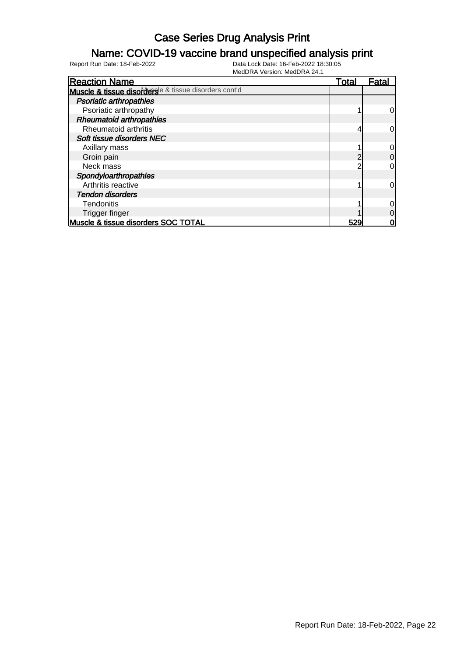### Name: COVID-19 vaccine brand unspecified analysis print

| <b>Reaction Name</b>                                  | <u>Total</u> | Fatal |
|-------------------------------------------------------|--------------|-------|
| Muscle & tissue disordersle & tissue disorders cont'd |              |       |
| <b>Psoriatic arthropathies</b>                        |              |       |
| Psoriatic arthropathy                                 |              | 0     |
| <b>Rheumatoid arthropathies</b>                       |              |       |
| Rheumatoid arthritis                                  |              | 0     |
| Soft tissue disorders NEC                             |              |       |
| Axillary mass                                         |              |       |
| Groin pain                                            |              | 0     |
| Neck mass                                             | ົ            | 0     |
| Spondyloarthropathies                                 |              |       |
| Arthritis reactive                                    |              | 0     |
| <b>Tendon disorders</b>                               |              |       |
| <b>Tendonitis</b>                                     |              |       |
| Trigger finger                                        |              | 0     |
| Muscle & tissue disorders SOC TOTAL                   | 529          | 0     |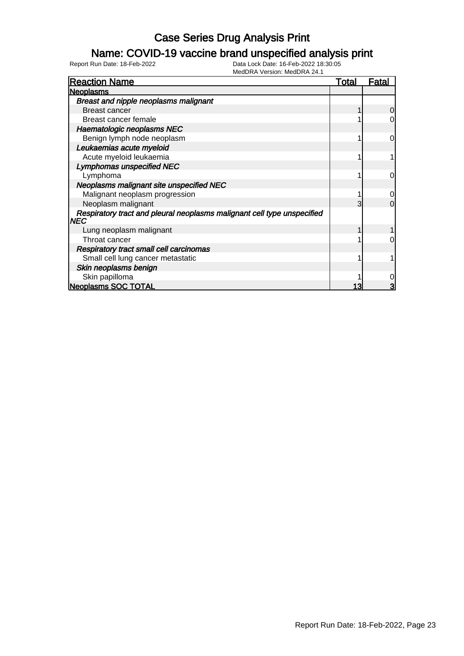### Name: COVID-19 vaccine brand unspecified analysis print

| <b>Reaction Name</b>                                                            | <u>Total</u> | <u>Fatal</u> |
|---------------------------------------------------------------------------------|--------------|--------------|
| <b>Neoplasms</b>                                                                |              |              |
| <b>Breast and nipple neoplasms malignant</b>                                    |              |              |
| Breast cancer                                                                   |              | 0            |
| Breast cancer female                                                            |              | 0            |
| Haematologic neoplasms NEC                                                      |              |              |
| Benign lymph node neoplasm                                                      |              | $\Omega$     |
| Leukaemias acute myeloid                                                        |              |              |
| Acute myeloid leukaemia                                                         |              |              |
| <b>Lymphomas unspecified NEC</b>                                                |              |              |
| Lymphoma                                                                        |              | 0            |
| Neoplasms malignant site unspecified NEC                                        |              |              |
| Malignant neoplasm progression                                                  |              | 0            |
| Neoplasm malignant                                                              | 3            | $\Omega$     |
| Respiratory tract and pleural neoplasms malignant cell type unspecified<br> NEC |              |              |
| Lung neoplasm malignant                                                         |              |              |
| Throat cancer                                                                   |              | 0            |
| <b>Respiratory tract small cell carcinomas</b>                                  |              |              |
| Small cell lung cancer metastatic                                               |              |              |
| Skin neoplasms benign                                                           |              |              |
| Skin papilloma                                                                  |              | 0            |
| <b>Neoplasms SOC TOTAL</b>                                                      |              | 3            |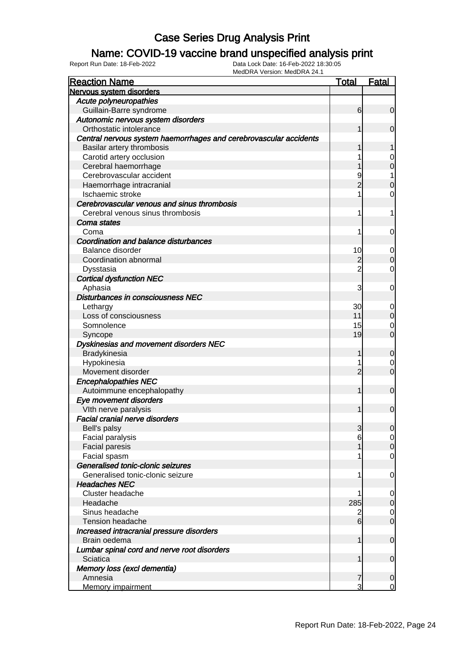### Name: COVID-19 vaccine brand unspecified analysis print

| <b>Nervous system disorders</b><br>Acute polyneuropathies<br>Guillain-Barre syndrome<br>$\overline{0}$<br>6<br>Autonomic nervous system disorders<br>Orthostatic intolerance<br>$\mathbf 0$<br>Central nervous system haemorrhages and cerebrovascular accidents<br>Basilar artery thrombosis<br>Carotid artery occlusion<br>0<br>$\mathbf 0$<br>Cerebral haemorrhage<br>Cerebrovascular accident<br>1<br>$\overline{2}$<br>$\mathbf 0$<br>Haemorrhage intracranial<br>Ischaemic stroke<br>0<br>Cerebrovascular venous and sinus thrombosis<br>Cerebral venous sinus thrombosis<br>1<br>Coma states<br>0<br>Coma<br><b>Coordination and balance disturbances</b><br><b>Balance disorder</b><br>10<br>$\mathbf 0$<br>$\mathbf 0$<br>$\overline{2}$<br>Coordination abnormal<br>$\overline{2}$<br>Dysstasia<br>0<br><b>Cortical dysfunction NEC</b><br>Aphasia<br>3<br>0<br>Disturbances in consciousness NEC<br>30<br>Lethargy<br>$\mathbf 0$<br>$\mathbf 0$<br>11<br>Loss of consciousness<br>15<br>Somnolence<br>$\mathbf 0$<br>$\overline{0}$<br>19<br>Syncope<br>Dyskinesias and movement disorders NEC<br>Bradykinesia<br>$\boldsymbol{0}$<br>Hypokinesia<br>$\mathbf 0$<br>$\overline{0}$<br>$\overline{2}$<br>Movement disorder<br><b>Encephalopathies NEC</b><br>$\mathbf 0$<br>Autoimmune encephalopathy<br>Eye movement disorders<br>$\mathbf 0$<br>Vith nerve paralysis<br><b>Facial cranial nerve disorders</b><br>Bell's palsy<br>3<br>Facial paralysis<br>6<br>$\overline{O}$<br><b>Facial paresis</b><br>Facial spasm<br>$\mathbf 0$<br>Generalised tonic-clonic seizures<br>Generalised tonic-clonic seizure<br>$\mathbf 0$<br>1<br><b>Headaches NEC</b><br>Cluster headache<br>$\overline{0}$<br>285<br>$\mathbf 0$<br>Headache<br>Sinus headache<br>$\overline{c}$<br>$\overline{0}$<br>$\overline{0}$<br>6<br><b>Tension headache</b><br>Increased intracranial pressure disorders<br>$\mathbf 0$<br>Brain oedema<br>1<br>Lumbar spinal cord and nerve root disorders<br>Sciatica<br>$\mathbf 0$<br>Memory loss (excl dementia) | <b>Reaction Name</b> | <b>Total</b> | <b>Fatal</b> |
|---------------------------------------------------------------------------------------------------------------------------------------------------------------------------------------------------------------------------------------------------------------------------------------------------------------------------------------------------------------------------------------------------------------------------------------------------------------------------------------------------------------------------------------------------------------------------------------------------------------------------------------------------------------------------------------------------------------------------------------------------------------------------------------------------------------------------------------------------------------------------------------------------------------------------------------------------------------------------------------------------------------------------------------------------------------------------------------------------------------------------------------------------------------------------------------------------------------------------------------------------------------------------------------------------------------------------------------------------------------------------------------------------------------------------------------------------------------------------------------------------------------------------------------------------------------------------------------------------------------------------------------------------------------------------------------------------------------------------------------------------------------------------------------------------------------------------------------------------------------------------------------------------------------------------------------------------------------------------------------------------------------------------------------------------|----------------------|--------------|--------------|
|                                                                                                                                                                                                                                                                                                                                                                                                                                                                                                                                                                                                                                                                                                                                                                                                                                                                                                                                                                                                                                                                                                                                                                                                                                                                                                                                                                                                                                                                                                                                                                                                                                                                                                                                                                                                                                                                                                                                                                                                                                                   |                      |              |              |
|                                                                                                                                                                                                                                                                                                                                                                                                                                                                                                                                                                                                                                                                                                                                                                                                                                                                                                                                                                                                                                                                                                                                                                                                                                                                                                                                                                                                                                                                                                                                                                                                                                                                                                                                                                                                                                                                                                                                                                                                                                                   |                      |              |              |
| 0 <br>$\overline{0}$                                                                                                                                                                                                                                                                                                                                                                                                                                                                                                                                                                                                                                                                                                                                                                                                                                                                                                                                                                                                                                                                                                                                                                                                                                                                                                                                                                                                                                                                                                                                                                                                                                                                                                                                                                                                                                                                                                                                                                                                                              |                      |              |              |
|                                                                                                                                                                                                                                                                                                                                                                                                                                                                                                                                                                                                                                                                                                                                                                                                                                                                                                                                                                                                                                                                                                                                                                                                                                                                                                                                                                                                                                                                                                                                                                                                                                                                                                                                                                                                                                                                                                                                                                                                                                                   |                      |              |              |
|                                                                                                                                                                                                                                                                                                                                                                                                                                                                                                                                                                                                                                                                                                                                                                                                                                                                                                                                                                                                                                                                                                                                                                                                                                                                                                                                                                                                                                                                                                                                                                                                                                                                                                                                                                                                                                                                                                                                                                                                                                                   |                      |              |              |
|                                                                                                                                                                                                                                                                                                                                                                                                                                                                                                                                                                                                                                                                                                                                                                                                                                                                                                                                                                                                                                                                                                                                                                                                                                                                                                                                                                                                                                                                                                                                                                                                                                                                                                                                                                                                                                                                                                                                                                                                                                                   |                      |              |              |
|                                                                                                                                                                                                                                                                                                                                                                                                                                                                                                                                                                                                                                                                                                                                                                                                                                                                                                                                                                                                                                                                                                                                                                                                                                                                                                                                                                                                                                                                                                                                                                                                                                                                                                                                                                                                                                                                                                                                                                                                                                                   |                      |              |              |
|                                                                                                                                                                                                                                                                                                                                                                                                                                                                                                                                                                                                                                                                                                                                                                                                                                                                                                                                                                                                                                                                                                                                                                                                                                                                                                                                                                                                                                                                                                                                                                                                                                                                                                                                                                                                                                                                                                                                                                                                                                                   |                      |              |              |
|                                                                                                                                                                                                                                                                                                                                                                                                                                                                                                                                                                                                                                                                                                                                                                                                                                                                                                                                                                                                                                                                                                                                                                                                                                                                                                                                                                                                                                                                                                                                                                                                                                                                                                                                                                                                                                                                                                                                                                                                                                                   |                      |              |              |
|                                                                                                                                                                                                                                                                                                                                                                                                                                                                                                                                                                                                                                                                                                                                                                                                                                                                                                                                                                                                                                                                                                                                                                                                                                                                                                                                                                                                                                                                                                                                                                                                                                                                                                                                                                                                                                                                                                                                                                                                                                                   |                      |              |              |
|                                                                                                                                                                                                                                                                                                                                                                                                                                                                                                                                                                                                                                                                                                                                                                                                                                                                                                                                                                                                                                                                                                                                                                                                                                                                                                                                                                                                                                                                                                                                                                                                                                                                                                                                                                                                                                                                                                                                                                                                                                                   |                      |              |              |
|                                                                                                                                                                                                                                                                                                                                                                                                                                                                                                                                                                                                                                                                                                                                                                                                                                                                                                                                                                                                                                                                                                                                                                                                                                                                                                                                                                                                                                                                                                                                                                                                                                                                                                                                                                                                                                                                                                                                                                                                                                                   |                      |              |              |
|                                                                                                                                                                                                                                                                                                                                                                                                                                                                                                                                                                                                                                                                                                                                                                                                                                                                                                                                                                                                                                                                                                                                                                                                                                                                                                                                                                                                                                                                                                                                                                                                                                                                                                                                                                                                                                                                                                                                                                                                                                                   |                      |              |              |
|                                                                                                                                                                                                                                                                                                                                                                                                                                                                                                                                                                                                                                                                                                                                                                                                                                                                                                                                                                                                                                                                                                                                                                                                                                                                                                                                                                                                                                                                                                                                                                                                                                                                                                                                                                                                                                                                                                                                                                                                                                                   |                      |              |              |
|                                                                                                                                                                                                                                                                                                                                                                                                                                                                                                                                                                                                                                                                                                                                                                                                                                                                                                                                                                                                                                                                                                                                                                                                                                                                                                                                                                                                                                                                                                                                                                                                                                                                                                                                                                                                                                                                                                                                                                                                                                                   |                      |              |              |
|                                                                                                                                                                                                                                                                                                                                                                                                                                                                                                                                                                                                                                                                                                                                                                                                                                                                                                                                                                                                                                                                                                                                                                                                                                                                                                                                                                                                                                                                                                                                                                                                                                                                                                                                                                                                                                                                                                                                                                                                                                                   |                      |              |              |
|                                                                                                                                                                                                                                                                                                                                                                                                                                                                                                                                                                                                                                                                                                                                                                                                                                                                                                                                                                                                                                                                                                                                                                                                                                                                                                                                                                                                                                                                                                                                                                                                                                                                                                                                                                                                                                                                                                                                                                                                                                                   |                      |              |              |
|                                                                                                                                                                                                                                                                                                                                                                                                                                                                                                                                                                                                                                                                                                                                                                                                                                                                                                                                                                                                                                                                                                                                                                                                                                                                                                                                                                                                                                                                                                                                                                                                                                                                                                                                                                                                                                                                                                                                                                                                                                                   |                      |              |              |
|                                                                                                                                                                                                                                                                                                                                                                                                                                                                                                                                                                                                                                                                                                                                                                                                                                                                                                                                                                                                                                                                                                                                                                                                                                                                                                                                                                                                                                                                                                                                                                                                                                                                                                                                                                                                                                                                                                                                                                                                                                                   |                      |              |              |
|                                                                                                                                                                                                                                                                                                                                                                                                                                                                                                                                                                                                                                                                                                                                                                                                                                                                                                                                                                                                                                                                                                                                                                                                                                                                                                                                                                                                                                                                                                                                                                                                                                                                                                                                                                                                                                                                                                                                                                                                                                                   |                      |              |              |
|                                                                                                                                                                                                                                                                                                                                                                                                                                                                                                                                                                                                                                                                                                                                                                                                                                                                                                                                                                                                                                                                                                                                                                                                                                                                                                                                                                                                                                                                                                                                                                                                                                                                                                                                                                                                                                                                                                                                                                                                                                                   |                      |              |              |
|                                                                                                                                                                                                                                                                                                                                                                                                                                                                                                                                                                                                                                                                                                                                                                                                                                                                                                                                                                                                                                                                                                                                                                                                                                                                                                                                                                                                                                                                                                                                                                                                                                                                                                                                                                                                                                                                                                                                                                                                                                                   |                      |              |              |
|                                                                                                                                                                                                                                                                                                                                                                                                                                                                                                                                                                                                                                                                                                                                                                                                                                                                                                                                                                                                                                                                                                                                                                                                                                                                                                                                                                                                                                                                                                                                                                                                                                                                                                                                                                                                                                                                                                                                                                                                                                                   |                      |              |              |
|                                                                                                                                                                                                                                                                                                                                                                                                                                                                                                                                                                                                                                                                                                                                                                                                                                                                                                                                                                                                                                                                                                                                                                                                                                                                                                                                                                                                                                                                                                                                                                                                                                                                                                                                                                                                                                                                                                                                                                                                                                                   |                      |              |              |
|                                                                                                                                                                                                                                                                                                                                                                                                                                                                                                                                                                                                                                                                                                                                                                                                                                                                                                                                                                                                                                                                                                                                                                                                                                                                                                                                                                                                                                                                                                                                                                                                                                                                                                                                                                                                                                                                                                                                                                                                                                                   |                      |              |              |
|                                                                                                                                                                                                                                                                                                                                                                                                                                                                                                                                                                                                                                                                                                                                                                                                                                                                                                                                                                                                                                                                                                                                                                                                                                                                                                                                                                                                                                                                                                                                                                                                                                                                                                                                                                                                                                                                                                                                                                                                                                                   |                      |              |              |
|                                                                                                                                                                                                                                                                                                                                                                                                                                                                                                                                                                                                                                                                                                                                                                                                                                                                                                                                                                                                                                                                                                                                                                                                                                                                                                                                                                                                                                                                                                                                                                                                                                                                                                                                                                                                                                                                                                                                                                                                                                                   |                      |              |              |
|                                                                                                                                                                                                                                                                                                                                                                                                                                                                                                                                                                                                                                                                                                                                                                                                                                                                                                                                                                                                                                                                                                                                                                                                                                                                                                                                                                                                                                                                                                                                                                                                                                                                                                                                                                                                                                                                                                                                                                                                                                                   |                      |              |              |
|                                                                                                                                                                                                                                                                                                                                                                                                                                                                                                                                                                                                                                                                                                                                                                                                                                                                                                                                                                                                                                                                                                                                                                                                                                                                                                                                                                                                                                                                                                                                                                                                                                                                                                                                                                                                                                                                                                                                                                                                                                                   |                      |              |              |
|                                                                                                                                                                                                                                                                                                                                                                                                                                                                                                                                                                                                                                                                                                                                                                                                                                                                                                                                                                                                                                                                                                                                                                                                                                                                                                                                                                                                                                                                                                                                                                                                                                                                                                                                                                                                                                                                                                                                                                                                                                                   |                      |              |              |
|                                                                                                                                                                                                                                                                                                                                                                                                                                                                                                                                                                                                                                                                                                                                                                                                                                                                                                                                                                                                                                                                                                                                                                                                                                                                                                                                                                                                                                                                                                                                                                                                                                                                                                                                                                                                                                                                                                                                                                                                                                                   |                      |              |              |
|                                                                                                                                                                                                                                                                                                                                                                                                                                                                                                                                                                                                                                                                                                                                                                                                                                                                                                                                                                                                                                                                                                                                                                                                                                                                                                                                                                                                                                                                                                                                                                                                                                                                                                                                                                                                                                                                                                                                                                                                                                                   |                      |              |              |
|                                                                                                                                                                                                                                                                                                                                                                                                                                                                                                                                                                                                                                                                                                                                                                                                                                                                                                                                                                                                                                                                                                                                                                                                                                                                                                                                                                                                                                                                                                                                                                                                                                                                                                                                                                                                                                                                                                                                                                                                                                                   |                      |              |              |
|                                                                                                                                                                                                                                                                                                                                                                                                                                                                                                                                                                                                                                                                                                                                                                                                                                                                                                                                                                                                                                                                                                                                                                                                                                                                                                                                                                                                                                                                                                                                                                                                                                                                                                                                                                                                                                                                                                                                                                                                                                                   |                      |              |              |
|                                                                                                                                                                                                                                                                                                                                                                                                                                                                                                                                                                                                                                                                                                                                                                                                                                                                                                                                                                                                                                                                                                                                                                                                                                                                                                                                                                                                                                                                                                                                                                                                                                                                                                                                                                                                                                                                                                                                                                                                                                                   |                      |              |              |
|                                                                                                                                                                                                                                                                                                                                                                                                                                                                                                                                                                                                                                                                                                                                                                                                                                                                                                                                                                                                                                                                                                                                                                                                                                                                                                                                                                                                                                                                                                                                                                                                                                                                                                                                                                                                                                                                                                                                                                                                                                                   |                      |              |              |
|                                                                                                                                                                                                                                                                                                                                                                                                                                                                                                                                                                                                                                                                                                                                                                                                                                                                                                                                                                                                                                                                                                                                                                                                                                                                                                                                                                                                                                                                                                                                                                                                                                                                                                                                                                                                                                                                                                                                                                                                                                                   |                      |              |              |
|                                                                                                                                                                                                                                                                                                                                                                                                                                                                                                                                                                                                                                                                                                                                                                                                                                                                                                                                                                                                                                                                                                                                                                                                                                                                                                                                                                                                                                                                                                                                                                                                                                                                                                                                                                                                                                                                                                                                                                                                                                                   |                      |              |              |
|                                                                                                                                                                                                                                                                                                                                                                                                                                                                                                                                                                                                                                                                                                                                                                                                                                                                                                                                                                                                                                                                                                                                                                                                                                                                                                                                                                                                                                                                                                                                                                                                                                                                                                                                                                                                                                                                                                                                                                                                                                                   |                      |              |              |
|                                                                                                                                                                                                                                                                                                                                                                                                                                                                                                                                                                                                                                                                                                                                                                                                                                                                                                                                                                                                                                                                                                                                                                                                                                                                                                                                                                                                                                                                                                                                                                                                                                                                                                                                                                                                                                                                                                                                                                                                                                                   |                      |              |              |
|                                                                                                                                                                                                                                                                                                                                                                                                                                                                                                                                                                                                                                                                                                                                                                                                                                                                                                                                                                                                                                                                                                                                                                                                                                                                                                                                                                                                                                                                                                                                                                                                                                                                                                                                                                                                                                                                                                                                                                                                                                                   |                      |              |              |
|                                                                                                                                                                                                                                                                                                                                                                                                                                                                                                                                                                                                                                                                                                                                                                                                                                                                                                                                                                                                                                                                                                                                                                                                                                                                                                                                                                                                                                                                                                                                                                                                                                                                                                                                                                                                                                                                                                                                                                                                                                                   |                      |              |              |
|                                                                                                                                                                                                                                                                                                                                                                                                                                                                                                                                                                                                                                                                                                                                                                                                                                                                                                                                                                                                                                                                                                                                                                                                                                                                                                                                                                                                                                                                                                                                                                                                                                                                                                                                                                                                                                                                                                                                                                                                                                                   |                      |              |              |
|                                                                                                                                                                                                                                                                                                                                                                                                                                                                                                                                                                                                                                                                                                                                                                                                                                                                                                                                                                                                                                                                                                                                                                                                                                                                                                                                                                                                                                                                                                                                                                                                                                                                                                                                                                                                                                                                                                                                                                                                                                                   |                      |              |              |
|                                                                                                                                                                                                                                                                                                                                                                                                                                                                                                                                                                                                                                                                                                                                                                                                                                                                                                                                                                                                                                                                                                                                                                                                                                                                                                                                                                                                                                                                                                                                                                                                                                                                                                                                                                                                                                                                                                                                                                                                                                                   |                      |              |              |
|                                                                                                                                                                                                                                                                                                                                                                                                                                                                                                                                                                                                                                                                                                                                                                                                                                                                                                                                                                                                                                                                                                                                                                                                                                                                                                                                                                                                                                                                                                                                                                                                                                                                                                                                                                                                                                                                                                                                                                                                                                                   |                      |              |              |
|                                                                                                                                                                                                                                                                                                                                                                                                                                                                                                                                                                                                                                                                                                                                                                                                                                                                                                                                                                                                                                                                                                                                                                                                                                                                                                                                                                                                                                                                                                                                                                                                                                                                                                                                                                                                                                                                                                                                                                                                                                                   |                      |              |              |
|                                                                                                                                                                                                                                                                                                                                                                                                                                                                                                                                                                                                                                                                                                                                                                                                                                                                                                                                                                                                                                                                                                                                                                                                                                                                                                                                                                                                                                                                                                                                                                                                                                                                                                                                                                                                                                                                                                                                                                                                                                                   |                      |              |              |
|                                                                                                                                                                                                                                                                                                                                                                                                                                                                                                                                                                                                                                                                                                                                                                                                                                                                                                                                                                                                                                                                                                                                                                                                                                                                                                                                                                                                                                                                                                                                                                                                                                                                                                                                                                                                                                                                                                                                                                                                                                                   |                      |              |              |
|                                                                                                                                                                                                                                                                                                                                                                                                                                                                                                                                                                                                                                                                                                                                                                                                                                                                                                                                                                                                                                                                                                                                                                                                                                                                                                                                                                                                                                                                                                                                                                                                                                                                                                                                                                                                                                                                                                                                                                                                                                                   |                      |              |              |
|                                                                                                                                                                                                                                                                                                                                                                                                                                                                                                                                                                                                                                                                                                                                                                                                                                                                                                                                                                                                                                                                                                                                                                                                                                                                                                                                                                                                                                                                                                                                                                                                                                                                                                                                                                                                                                                                                                                                                                                                                                                   |                      |              |              |
|                                                                                                                                                                                                                                                                                                                                                                                                                                                                                                                                                                                                                                                                                                                                                                                                                                                                                                                                                                                                                                                                                                                                                                                                                                                                                                                                                                                                                                                                                                                                                                                                                                                                                                                                                                                                                                                                                                                                                                                                                                                   |                      |              |              |
|                                                                                                                                                                                                                                                                                                                                                                                                                                                                                                                                                                                                                                                                                                                                                                                                                                                                                                                                                                                                                                                                                                                                                                                                                                                                                                                                                                                                                                                                                                                                                                                                                                                                                                                                                                                                                                                                                                                                                                                                                                                   | Amnesia              | 7            | $\mathbf 0$  |
| Memory impairment<br>3<br>0                                                                                                                                                                                                                                                                                                                                                                                                                                                                                                                                                                                                                                                                                                                                                                                                                                                                                                                                                                                                                                                                                                                                                                                                                                                                                                                                                                                                                                                                                                                                                                                                                                                                                                                                                                                                                                                                                                                                                                                                                       |                      |              |              |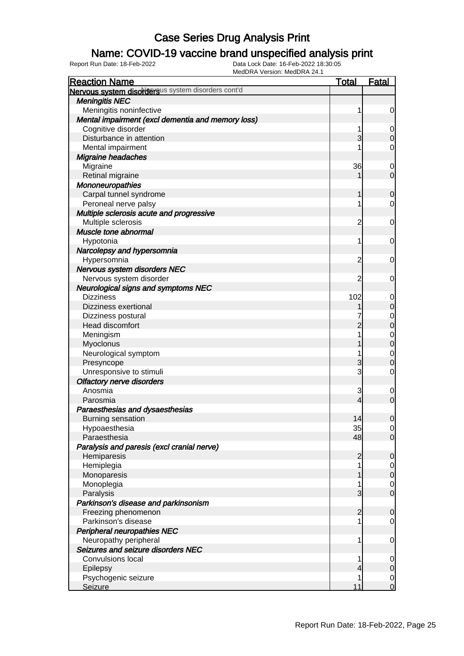### Name: COVID-19 vaccine brand unspecified analysis print

| MEUDRA VEISIUII. MEUDRA 24.<br><b>Reaction Name</b> | <b>Total</b> | <b>Fatal</b>   |
|-----------------------------------------------------|--------------|----------------|
| Nervous system disordersus system disorders cont'd  |              |                |
| <b>Meningitis NEC</b>                               |              |                |
| Meningitis noninfective                             |              | 0              |
| Mental impairment (excl dementia and memory loss)   |              |                |
| Cognitive disorder                                  |              | 0              |
| Disturbance in attention                            | 3            | $\Omega$       |
| Mental impairment                                   |              | 0              |
| <b>Migraine headaches</b>                           |              |                |
| Migraine                                            | 36           | 0              |
| Retinal migraine                                    |              | $\overline{0}$ |
| Mononeuropathies                                    |              |                |
| Carpal tunnel syndrome                              |              | 0              |
| Peroneal nerve palsy                                |              | 0              |
| Multiple sclerosis acute and progressive            |              |                |
| Multiple sclerosis                                  | 2            | 0              |
| Muscle tone abnormal                                |              |                |
| Hypotonia                                           |              | 0              |
| Narcolepsy and hypersomnia                          |              |                |
| Hypersomnia                                         | 2            | 0              |
| Nervous system disorders NEC                        |              |                |
| Nervous system disorder                             | 2            | 0              |
| <b>Neurological signs and symptoms NEC</b>          |              |                |
| <b>Dizziness</b>                                    | 102          | 0              |
| <b>Dizziness exertional</b>                         |              | $\mathbf 0$    |
| Dizziness postural                                  |              | 0              |
| Head discomfort                                     | 2            | $\overline{0}$ |
| Meningism                                           |              | $\mathbf 0$    |
| Myoclonus                                           |              | $\overline{0}$ |
| Neurological symptom                                |              | 0              |
| Presyncope                                          | 3            | 0              |
| Unresponsive to stimuli                             | 3            | 0              |
| <b>Olfactory nerve disorders</b>                    |              |                |
| Anosmia                                             | 3            | 0              |
| Parosmia                                            | 4            | $\mathbf 0$    |
| Paraesthesias and dysaesthesias                     |              |                |
| <b>Burning sensation</b>                            | 14           | $\mathbf 0$    |
| Hypoaesthesia                                       | 35           | $\overline{0}$ |
| Paraesthesia                                        | 48           | $\overline{0}$ |
| Paralysis and paresis (excl cranial nerve)          |              |                |
| Hemiparesis                                         | 2            | $\mathbf 0$    |
| Hemiplegia                                          |              | $\mathbf 0$    |
| Monoparesis                                         |              | $\mathbf 0$    |
| Monoplegia                                          |              | $\mathbf 0$    |
| Paralysis                                           | 3            | $\overline{0}$ |
| Parkinson's disease and parkinsonism                |              |                |
| Freezing phenomenon                                 | 2            | $\mathbf 0$    |
| Parkinson's disease                                 |              | 0              |
| <b>Peripheral neuropathies NEC</b>                  |              |                |
| Neuropathy peripheral                               |              | $\mathbf 0$    |
| Seizures and seizure disorders NEC                  |              |                |
| <b>Convulsions local</b>                            |              | 0              |
| Epilepsy                                            |              | $\mathbf 0$    |
| Psychogenic seizure                                 |              | $\mathbf 0$    |
| <b>Seizure</b>                                      | 11           | $\overline{0}$ |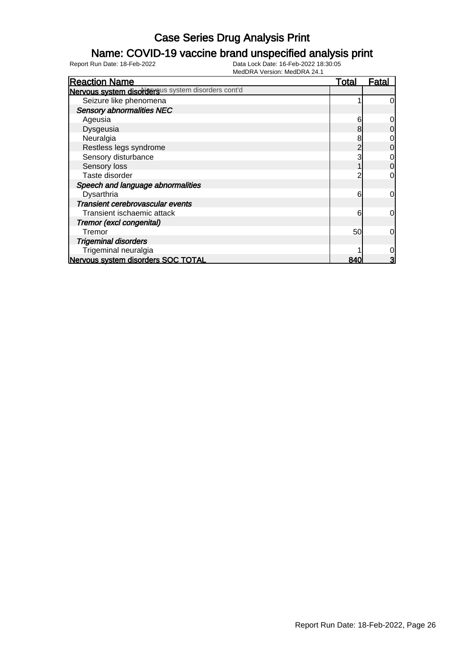### Name: COVID-19 vaccine brand unspecified analysis print

| <b>Reaction Name</b>                               | Total | Fatal          |
|----------------------------------------------------|-------|----------------|
| Nervous system disordersus system disorders cont'd |       |                |
| Seizure like phenomena                             |       | $\overline{0}$ |
| <b>Sensory abnormalities NEC</b>                   |       |                |
| Ageusia                                            | 6     | $\overline{0}$ |
| Dysgeusia                                          | 8     | $\overline{0}$ |
| Neuralgia                                          | 8     | $\overline{0}$ |
| Restless legs syndrome                             |       | $\overline{0}$ |
| Sensory disturbance                                |       | $\overline{O}$ |
| Sensory loss                                       |       | $\overline{0}$ |
| Taste disorder                                     |       | $\overline{0}$ |
| Speech and language abnormalities                  |       |                |
| Dysarthria                                         | 6     | $\overline{0}$ |
| Transient cerebrovascular events                   |       |                |
| Transient ischaemic attack                         | 6     | $\overline{0}$ |
| Tremor (excl congenital)                           |       |                |
| Tremor                                             | 50    | $\overline{0}$ |
| <b>Trigeminal disorders</b>                        |       |                |
| Trigeminal neuralgia                               |       | $\overline{O}$ |
| Nervous system disorders SOC TOTAL                 | 840   | 3              |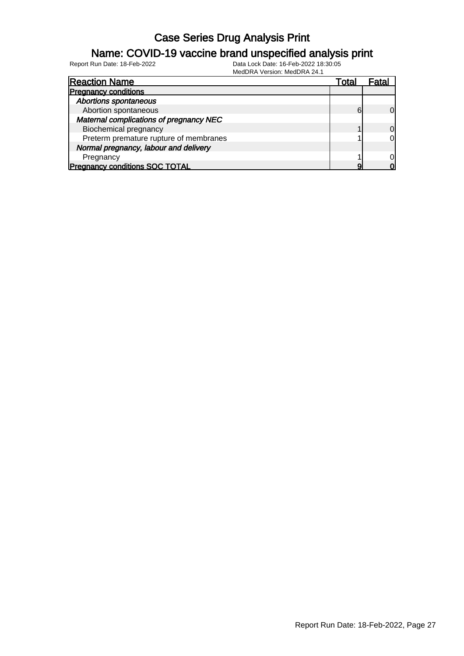### Name: COVID-19 vaccine brand unspecified analysis print

Report Run Date: 18-Feb-2022 Data Lock Date: 16-Feb-2022 18:30:05

MedDRA Version: MedDRA 24.1

| <b>Reaction Name</b>                    | Total | ⊦atal          |
|-----------------------------------------|-------|----------------|
| <b>Pregnancy conditions</b>             |       |                |
| <b>Abortions spontaneous</b>            |       |                |
| Abortion spontaneous                    | 6     | $\Omega$       |
| Maternal complications of pregnancy NEC |       |                |
| <b>Biochemical pregnancy</b>            |       | $\overline{0}$ |
| Preterm premature rupture of membranes  |       | 0              |
| Normal pregnancy, labour and delivery   |       |                |
| Pregnancy                               |       | 0l             |
| <b>Pregnancy conditions SOC TOTAL</b>   |       | ი              |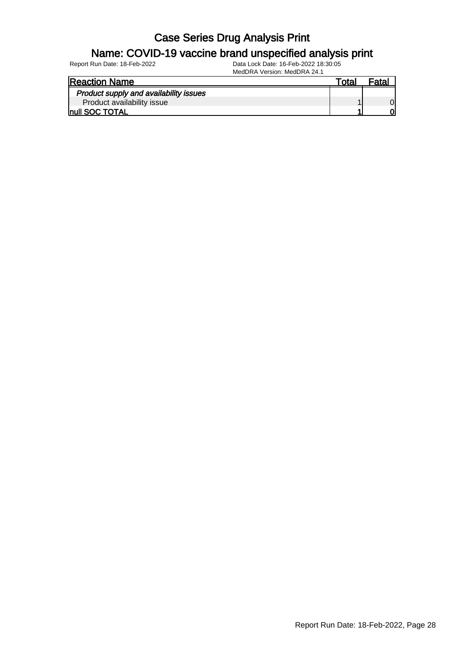#### Name: COVID-19 vaccine brand unspecified analysis print

| <b>Reaction Name</b>                   | Total |  |
|----------------------------------------|-------|--|
| Product supply and availability issues |       |  |
| Product availability issue             |       |  |
| <b>Inull SOC TOTAL</b>                 |       |  |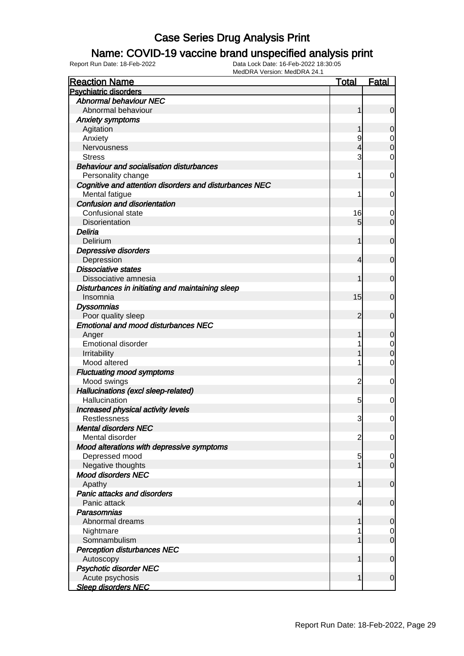### Name: COVID-19 vaccine brand unspecified analysis print

| <b>Reaction Name</b>                                   | <b>Total</b>   | Fatal          |
|--------------------------------------------------------|----------------|----------------|
| <b>Psychiatric disorders</b>                           |                |                |
| <b>Abnormal behaviour NEC</b>                          |                |                |
| Abnormal behaviour                                     | 1              | $\overline{0}$ |
| <b>Anxiety symptoms</b>                                |                |                |
| Agitation                                              |                | $\overline{0}$ |
| Anxiety                                                | 9              | $\mathbf 0$    |
| Nervousness                                            | 4              | $\mathbf 0$    |
| <b>Stress</b>                                          | 3              | 0              |
| <b>Behaviour and socialisation disturbances</b>        |                |                |
| Personality change                                     | 1              | 0              |
| Cognitive and attention disorders and disturbances NEC |                |                |
| Mental fatigue                                         | 1              | 0              |
| <b>Confusion and disorientation</b>                    |                |                |
| Confusional state                                      | 16             | 0              |
| Disorientation                                         | 5              | $\overline{0}$ |
| Deliria                                                |                |                |
| Delirium                                               | 1              | $\overline{0}$ |
| Depressive disorders                                   |                |                |
| Depression                                             | 4              | $\mathbf 0$    |
| <b>Dissociative states</b>                             |                |                |
| Dissociative amnesia                                   |                | $\overline{0}$ |
| Disturbances in initiating and maintaining sleep       |                |                |
| Insomnia                                               | 15             | $\mathbf 0$    |
| <b>Dyssomnias</b>                                      |                |                |
| Poor quality sleep                                     | $\overline{2}$ | $\overline{0}$ |
| <b>Emotional and mood disturbances NEC</b>             |                |                |
| Anger                                                  | 1              | $\overline{0}$ |
| <b>Emotional disorder</b>                              |                | $\overline{0}$ |
| Irritability                                           |                | $\mathbf 0$    |
| Mood altered                                           |                | 0              |
| <b>Fluctuating mood symptoms</b>                       |                |                |
| Mood swings                                            | $\overline{c}$ | 0              |
| Hallucinations (excl sleep-related)                    |                |                |
| Hallucination                                          | 5              | 0              |
| Increased physical activity levels                     |                |                |
| Restlessness                                           | 3              | 0              |
| <b>Mental disorders NEC</b>                            |                |                |
| Mental disorder                                        | $\overline{c}$ | 0              |
| Mood alterations with depressive symptoms              |                |                |
| Depressed mood                                         | 5              | $\overline{0}$ |
| Negative thoughts                                      |                | $\overline{0}$ |
| <b>Mood disorders NEC</b>                              |                |                |
| Apathy                                                 | 1              | $\mathbf 0$    |
| <b>Panic attacks and disorders</b>                     |                |                |
| Panic attack                                           | 4              | $\mathbf 0$    |
| Parasomnias                                            |                |                |
| Abnormal dreams                                        |                | $\overline{0}$ |
| Nightmare                                              |                | $\overline{0}$ |
| Somnambulism                                           |                | $\mathbf 0$    |
| <b>Perception disturbances NEC</b>                     |                | $\mathbf 0$    |
| Autoscopy                                              |                |                |
| <b>Psychotic disorder NEC</b><br>Acute psychosis       | 1              | $\overline{0}$ |
| <b>Sleep disorders NEC</b>                             |                |                |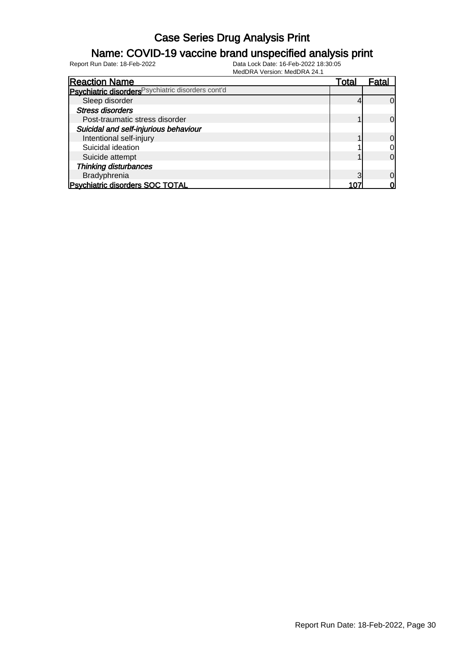### Name: COVID-19 vaccine brand unspecified analysis print

| <b>Reaction Name</b>                               | Total | Fatal          |
|----------------------------------------------------|-------|----------------|
| Psychiatric disorders Psychiatric disorders cont'd |       |                |
| Sleep disorder                                     |       | $\Omega$       |
| <b>Stress disorders</b>                            |       |                |
| Post-traumatic stress disorder                     |       | $\Omega$       |
| Suicidal and self-injurious behaviour              |       |                |
| Intentional self-injury                            |       | $\overline{0}$ |
| Suicidal ideation                                  |       | $\overline{0}$ |
| Suicide attempt                                    |       | $\overline{0}$ |
| <b>Thinking disturbances</b>                       |       |                |
| Bradyphrenia                                       |       | $\Omega$       |
| <b>Psychiatric disorders SOC TOTAL</b>             |       | 0              |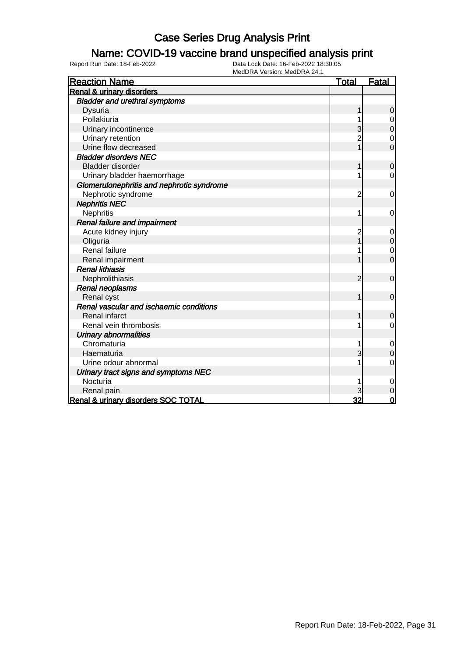#### Name: COVID-19 vaccine brand unspecified analysis print

| <b>Reaction Name</b>                      | <b>Total</b>   | <b>Fatal</b>     |
|-------------------------------------------|----------------|------------------|
| <b>Renal &amp; urinary disorders</b>      |                |                  |
| <b>Bladder and urethral symptoms</b>      |                |                  |
| Dysuria                                   |                | 0                |
| Pollakiuria                               |                | $\mathbf 0$      |
| Urinary incontinence                      | 3              | $\mathbf 0$      |
| Urinary retention                         | $\overline{c}$ | 0                |
| Urine flow decreased                      |                | $\overline{0}$   |
| <b>Bladder disorders NEC</b>              |                |                  |
| <b>Bladder disorder</b>                   | 1              | $\mathbf 0$      |
| Urinary bladder haemorrhage               |                | $\mathbf 0$      |
| Glomerulonephritis and nephrotic syndrome |                |                  |
| Nephrotic syndrome                        | $\overline{c}$ | $\mathbf 0$      |
| <b>Nephritis NEC</b>                      |                |                  |
| Nephritis                                 |                | 0                |
| <b>Renal failure and impairment</b>       |                |                  |
| Acute kidney injury                       | $\overline{c}$ | 0                |
| Oliguria                                  |                | $\pmb{0}$        |
| Renal failure                             |                | $\mathbf 0$      |
| Renal impairment                          |                | $\overline{0}$   |
| <b>Renal lithiasis</b>                    |                |                  |
| Nephrolithiasis                           | 2              | $\mathbf 0$      |
| <b>Renal neoplasms</b>                    |                |                  |
| Renal cyst                                |                | $\mathbf 0$      |
| Renal vascular and ischaemic conditions   |                |                  |
| <b>Renal infarct</b>                      |                | 0                |
| Renal vein thrombosis                     |                | 0                |
| <b>Urinary abnormalities</b>              |                |                  |
| Chromaturia                               |                | $\mathbf 0$      |
| Haematuria                                | 3              | $\boldsymbol{0}$ |
| Urine odour abnormal                      |                | $\overline{0}$   |
| Urinary tract signs and symptoms NEC      |                |                  |
| Nocturia                                  |                | $\mathbf 0$      |
| Renal pain                                |                | $\mathbf 0$      |
| Renal & urinary disorders SOC TOTAL       | 32             | $\overline{0}$   |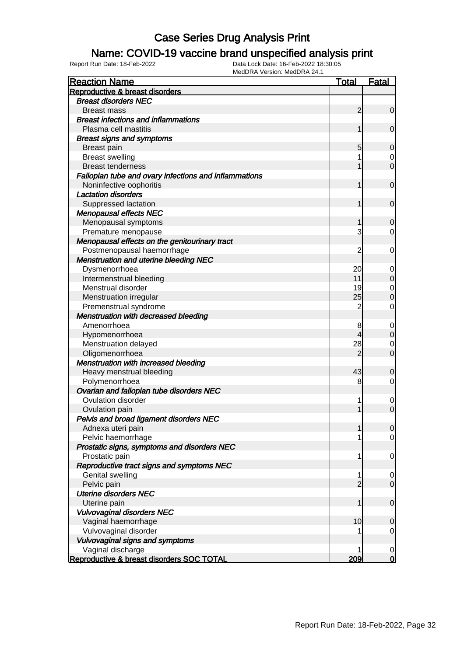### Name: COVID-19 vaccine brand unspecified analysis print

| <b>Reaction Name</b>                                  | <b>Total</b>   | <b>Fatal</b>   |
|-------------------------------------------------------|----------------|----------------|
| Reproductive & breast disorders                       |                |                |
| <b>Breast disorders NEC</b>                           |                |                |
| <b>Breast mass</b>                                    | $\overline{2}$ | $\overline{0}$ |
| <b>Breast infections and inflammations</b>            |                |                |
| Plasma cell mastitis                                  | 1              | $\mathbf 0$    |
| <b>Breast signs and symptoms</b>                      |                |                |
| <b>Breast pain</b>                                    | 5              | $\overline{0}$ |
| <b>Breast swelling</b>                                |                | $\mathbf 0$    |
| <b>Breast tenderness</b>                              |                | $\mathbf 0$    |
| Fallopian tube and ovary infections and inflammations |                |                |
| Noninfective oophoritis                               | 1              | $\mathbf 0$    |
| <b>Lactation disorders</b>                            |                |                |
| Suppressed lactation                                  | 1              | $\mathbf 0$    |
| <b>Menopausal effects NEC</b>                         |                |                |
| Menopausal symptoms                                   | 1              | $\mathbf 0$    |
| Premature menopause                                   | 3              | $\mathbf 0$    |
| Menopausal effects on the genitourinary tract         |                |                |
| Postmenopausal haemorrhage                            | $\overline{c}$ | 0              |
| <b>Menstruation and uterine bleeding NEC</b>          |                |                |
| Dysmenorrhoea                                         | 20             | $\mathbf 0$    |
| Intermenstrual bleeding                               | 11             | $\mathbf 0$    |
| Menstrual disorder                                    | 19             | $\mathbf 0$    |
| Menstruation irregular                                | 25             | $\mathbf 0$    |
| Premenstrual syndrome                                 | $\overline{2}$ | $\mathbf 0$    |
| Menstruation with decreased bleeding                  |                |                |
| Amenorrhoea                                           | 8              | $\mathbf 0$    |
| Hypomenorrhoea                                        | 4              | $\mathbf 0$    |
| Menstruation delayed                                  | 28             | 0              |
| Oligomenorrhoea                                       | $\overline{2}$ | $\mathbf 0$    |
| Menstruation with increased bleeding                  |                |                |
| Heavy menstrual bleeding                              | 43             | 0              |
| Polymenorrhoea                                        | 8              | $\mathbf 0$    |
| Ovarian and fallopian tube disorders NEC              |                |                |
| <b>Ovulation disorder</b>                             | 1              | $\mathbf 0$    |
| Ovulation pain                                        | 1              | $\mathbf 0$    |
| Pelvis and broad ligament disorders NEC               |                |                |
| Adnexa uteri pain                                     | 1              | 0              |
| Pelvic haemorrhage                                    |                | $\overline{0}$ |
| Prostatic signs, symptoms and disorders NEC           |                |                |
| Prostatic pain                                        | 1              | $\mathbf 0$    |
| Reproductive tract signs and symptoms NEC             |                |                |
| <b>Genital swelling</b>                               | 1              | $\overline{0}$ |
| Pelvic pain                                           | $\overline{2}$ | $\overline{0}$ |
| <b>Uterine disorders NEC</b>                          |                |                |
| Uterine pain                                          | 1              | $\mathbf 0$    |
| <b>Vulvovaginal disorders NEC</b>                     |                |                |
| Vaginal haemorrhage                                   | 10             | $\mathbf 0$    |
| Vulvovaginal disorder                                 |                | 0              |
| Vulvovaginal signs and symptoms                       |                |                |
| Vaginal discharge                                     |                | $\mathbf 0$    |
| Reproductive & breast disorders SOC TOTAL             | 209            | $\bf{0}$       |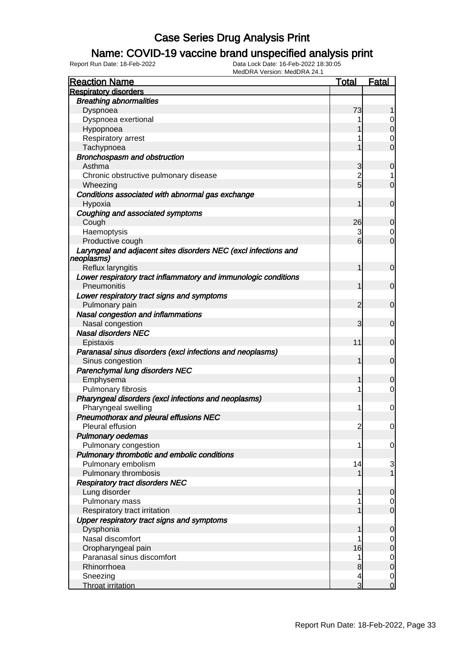### Name: COVID-19 vaccine brand unspecified analysis print

| <b>Reaction Name</b>                                            | <b>Total</b>   | <b>Fatal</b>     |
|-----------------------------------------------------------------|----------------|------------------|
| <b>Respiratory disorders</b>                                    |                |                  |
| <b>Breathing abnormalities</b>                                  |                |                  |
| Dyspnoea                                                        | 73             |                  |
| Dyspnoea exertional                                             |                | 0                |
| Hypopnoea                                                       |                | $\overline{0}$   |
| Respiratory arrest                                              |                | 0                |
| Tachypnoea                                                      |                | $\overline{0}$   |
| Bronchospasm and obstruction                                    |                |                  |
| Asthma                                                          | 3              | $\boldsymbol{0}$ |
| Chronic obstructive pulmonary disease                           | $\overline{2}$ | 1                |
| Wheezing                                                        | 5              | $\overline{0}$   |
| Conditions associated with abnormal gas exchange                |                |                  |
| Hypoxia                                                         | 1              | $\overline{0}$   |
| Coughing and associated symptoms                                |                |                  |
| Cough                                                           | 26             | $\mathbf 0$      |
| Haemoptysis                                                     | 3              | 0                |
| Productive cough                                                | 6              | $\overline{0}$   |
| Laryngeal and adjacent sites disorders NEC (excl infections and |                |                  |
| neoplasms)                                                      |                |                  |
| Reflux laryngitis                                               | 1              | $\mathbf 0$      |
| Lower respiratory tract inflammatory and immunologic conditions |                |                  |
| Pneumonitis                                                     | 1              | $\overline{0}$   |
| Lower respiratory tract signs and symptoms                      |                |                  |
| Pulmonary pain                                                  | 2              | $\mathbf 0$      |
| Nasal congestion and inflammations                              |                |                  |
| Nasal congestion                                                | 3              | $\mathbf 0$      |
| <b>Nasal disorders NEC</b>                                      |                |                  |
| Epistaxis                                                       | 11             | $\mathbf 0$      |
| Paranasal sinus disorders (excl infections and neoplasms)       |                |                  |
| Sinus congestion                                                | 1              | $\overline{0}$   |
| Parenchymal lung disorders NEC                                  |                |                  |
| Emphysema                                                       | 1              | 0                |
| Pulmonary fibrosis                                              | 1              | 0                |
| Pharyngeal disorders (excl infections and neoplasms)            |                |                  |
| Pharyngeal swelling                                             | 1              | $\mathbf 0$      |
| <b>Pneumothorax and pleural effusions NEC</b>                   |                |                  |
| Pleural effusion                                                | $\overline{c}$ | $\overline{0}$   |
| <b>Pulmonary oedemas</b>                                        |                |                  |
| Pulmonary congestion                                            | 1              | 0                |
| Pulmonary thrombotic and embolic conditions                     |                |                  |
| Pulmonary embolism                                              | 14             | $\mathbf{3}$     |
| Pulmonary thrombosis                                            |                | $\overline{1}$   |
| <b>Respiratory tract disorders NEC</b>                          |                |                  |
| Lung disorder                                                   |                | 0                |
| Pulmonary mass                                                  |                | $\overline{0}$   |
| Respiratory tract irritation                                    |                | $\overline{0}$   |
| Upper respiratory tract signs and symptoms                      |                |                  |
| Dysphonia                                                       |                | 0                |
| Nasal discomfort                                                |                | $\overline{0}$   |
| Oropharyngeal pain                                              | 16             | $\mathbf 0$      |
| Paranasal sinus discomfort                                      | 1              | $\overline{0}$   |
| Rhinorrhoea                                                     | 8              | $\mathbf 0$      |
| Sneezing                                                        | 4              | $\overline{0}$   |
| <b>Throat irritation</b>                                        | 3              | $\overline{0}$   |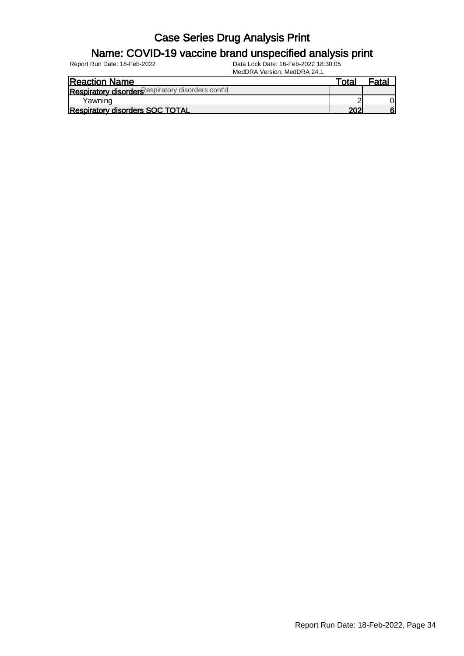#### Name: COVID-19 vaccine brand unspecified analysis print

| ™otal | Fata |
|-------|------|
|       |      |
|       |      |
| ∩∩    | հ    |
|       |      |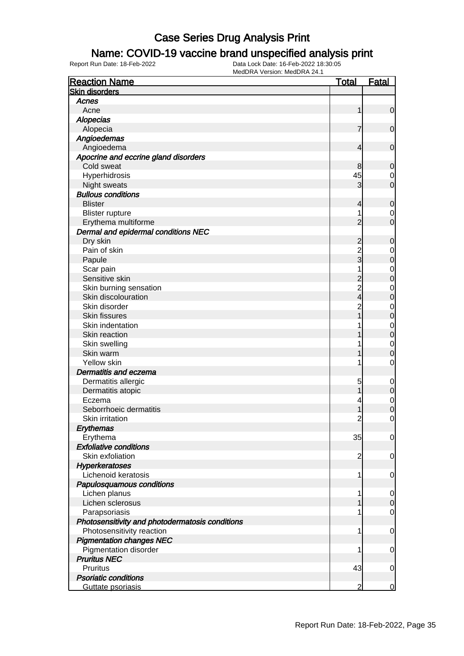### Name: COVID-19 vaccine brand unspecified analysis print

| <b>Reaction Name</b>                            | <b>Total</b>   | <b>Fatal</b>   |
|-------------------------------------------------|----------------|----------------|
| <b>Skin disorders</b>                           |                |                |
| Acnes                                           |                |                |
| Acne                                            | 1              | $\mathbf 0$    |
| <b>Alopecias</b>                                |                |                |
| Alopecia                                        | 7              | $\mathbf 0$    |
| Angioedemas                                     |                |                |
| Angioedema                                      | 4              | $\mathbf 0$    |
| Apocrine and eccrine gland disorders            |                |                |
| Cold sweat                                      | 8              | $\mathbf 0$    |
| Hyperhidrosis                                   | 45             | 0              |
| Night sweats                                    | 3              | $\mathbf 0$    |
| <b>Bullous conditions</b>                       |                |                |
| <b>Blister</b>                                  | 4              | $\mathbf 0$    |
| <b>Blister rupture</b>                          | 1              | 0              |
| Erythema multiforme                             | $\overline{2}$ | $\overline{0}$ |
| Dermal and epidermal conditions NEC             |                |                |
| Dry skin                                        | $\overline{c}$ | $\mathbf 0$    |
| Pain of skin                                    |                | 0              |
| Papule                                          | $\frac{2}{3}$  | $\mathbf 0$    |
| Scar pain                                       | 1              | $\mathbf 0$    |
| Sensitive skin                                  |                | $\mathbf 0$    |
| Skin burning sensation                          | 2<br>2<br>4    | $\mathbf 0$    |
| Skin discolouration                             |                | $\mathbf 0$    |
| Skin disorder                                   | $\overline{c}$ |                |
| <b>Skin fissures</b>                            |                | $\mathbf 0$    |
| Skin indentation                                |                | $\mathbf 0$    |
|                                                 |                | $\mathbf 0$    |
| Skin reaction                                   |                | $\mathbf 0$    |
| Skin swelling                                   |                | $\mathbf 0$    |
| Skin warm                                       |                | 0              |
| Yellow skin                                     | 1              | $\mathbf 0$    |
| <b>Dermatitis and eczema</b>                    |                |                |
| Dermatitis allergic                             | 5              | $\mathbf 0$    |
| Dermatitis atopic                               |                | $\mathbf 0$    |
| Eczema                                          |                | $\mathbf 0$    |
| Seborrhoeic dermatitis                          | 1              | $\mathbf 0$    |
| Skin irritation                                 | $\overline{c}$ | $\mathbf{0}$   |
| <b>Erythemas</b>                                |                |                |
| Erythema                                        | 35             | $\overline{0}$ |
| <b>Exfoliative conditions</b>                   |                |                |
| Skin exfoliation                                | $\overline{c}$ | $\mathbf 0$    |
| <b>Hyperkeratoses</b>                           |                |                |
| Lichenoid keratosis                             | 1              | $\mathbf 0$    |
| Papulosquamous conditions                       |                |                |
| Lichen planus                                   | 1              | 0              |
| Lichen sclerosus                                |                | $\mathbf 0$    |
| Parapsoriasis                                   |                | $\overline{0}$ |
| Photosensitivity and photodermatosis conditions |                |                |
| Photosensitivity reaction                       | 1              | $\mathbf 0$    |
| <b>Pigmentation changes NEC</b>                 |                |                |
| Pigmentation disorder                           | 1              | $\mathbf 0$    |
| <b>Pruritus NEC</b>                             |                |                |
| Pruritus                                        | 43             | $\mathbf 0$    |
| <b>Psoriatic conditions</b>                     |                |                |
| Guttate psoriasis                               | 2              | $\overline{0}$ |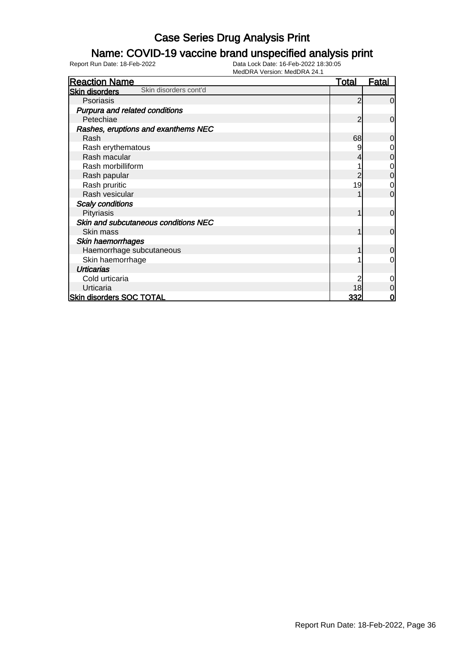### Name: COVID-19 vaccine brand unspecified analysis print

| <b>Reaction Name</b>                           | <u>Total</u> | <b>Fatal</b>   |
|------------------------------------------------|--------------|----------------|
| Skin disorders cont'd<br><b>Skin disorders</b> |              |                |
| Psoriasis                                      | 2            | $\overline{0}$ |
| Purpura and related conditions                 |              |                |
| Petechiae                                      | 2            | $\overline{0}$ |
| Rashes, eruptions and exanthems NEC            |              |                |
| Rash                                           | 68           | $\overline{0}$ |
| Rash erythematous                              |              | $\mathbf 0$    |
| Rash macular                                   | 4            | $\mathbf 0$    |
| Rash morbilliform                              |              | $\mathbf 0$    |
| Rash papular                                   |              | $\mathbf 0$    |
| Rash pruritic                                  | 19           | $\mathbf 0$    |
| Rash vesicular                                 |              | $\overline{0}$ |
| <b>Scaly conditions</b>                        |              |                |
| Pityriasis                                     |              | $\overline{0}$ |
| Skin and subcutaneous conditions NEC           |              |                |
| Skin mass                                      | 1            | $\overline{0}$ |
| Skin haemorrhages                              |              |                |
| Haemorrhage subcutaneous                       |              | $\overline{0}$ |
| Skin haemorrhage                               |              | $\overline{0}$ |
| <b>Urticarias</b>                              |              |                |
| Cold urticaria                                 |              | $\overline{0}$ |
| Urticaria                                      | 18           | $\mathbf 0$    |
| <b>Skin disorders SOC TOTAL</b>                | 332          | 0              |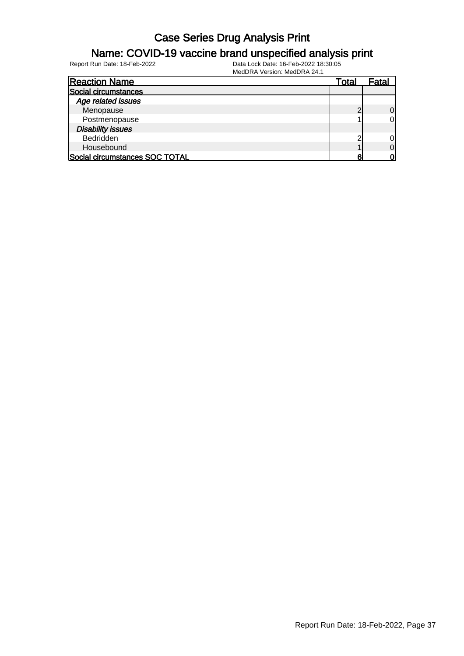#### Name: COVID-19 vaccine brand unspecified analysis print

| <b>Reaction Name</b>           | Total | Fatal          |
|--------------------------------|-------|----------------|
| Social circumstances           |       |                |
| Age related issues             |       |                |
| Menopause                      |       | $\Omega$       |
| Postmenopause                  |       | O              |
| <b>Disability issues</b>       |       |                |
| Bedridden                      | ╭     | 0              |
| Housebound                     |       | $\overline{0}$ |
| Social circumstances SOC TOTAL | ค     | Ωl             |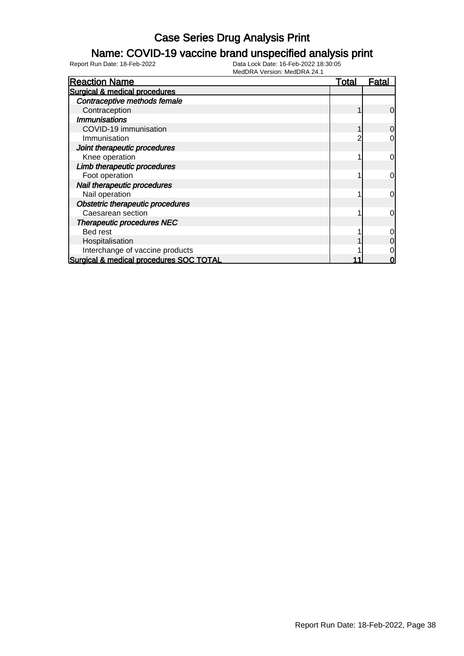#### Name: COVID-19 vaccine brand unspecified analysis print

| <b>Reaction Name</b>                    | Total | Fatal          |
|-----------------------------------------|-------|----------------|
| Surgical & medical procedures           |       |                |
| Contraceptive methods female            |       |                |
| Contraception                           |       | $\overline{0}$ |
| <b>Immunisations</b>                    |       |                |
| COVID-19 immunisation                   |       | $\overline{0}$ |
| Immunisation                            |       | 0              |
| Joint therapeutic procedures            |       |                |
| Knee operation                          |       | $\overline{0}$ |
| Limb therapeutic procedures             |       |                |
| Foot operation                          |       | $\overline{0}$ |
| Nail therapeutic procedures             |       |                |
| Nail operation                          |       | $\overline{0}$ |
| Obstetric therapeutic procedures        |       |                |
| Caesarean section                       |       | $\overline{0}$ |
| <b>Therapeutic procedures NEC</b>       |       |                |
| Bed rest                                |       | $\overline{0}$ |
| Hospitalisation                         |       | $\overline{0}$ |
| Interchange of vaccine products         |       | 0              |
| Surgical & medical procedures SOC TOTAL |       | 0              |